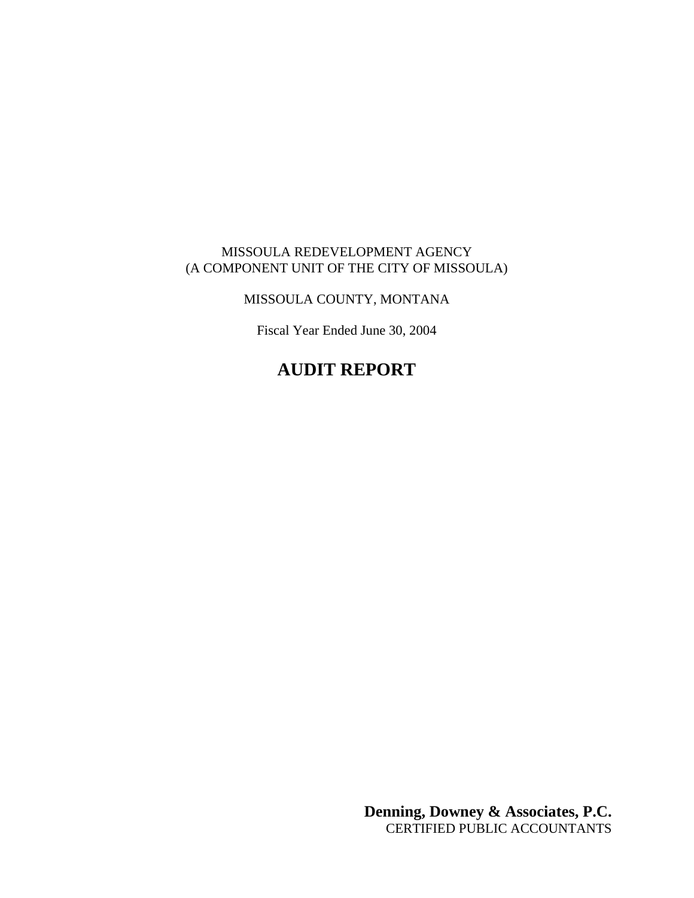### MISSOULA REDEVELOPMENT AGENCY (A COMPONENT UNIT OF THE CITY OF MISSOULA)

## MISSOULA COUNTY, MONTANA

Fiscal Year Ended June 30, 2004

# **AUDIT REPORT**

**Denning, Downey & Associates, P.C.** CERTIFIED PUBLIC ACCOUNTANTS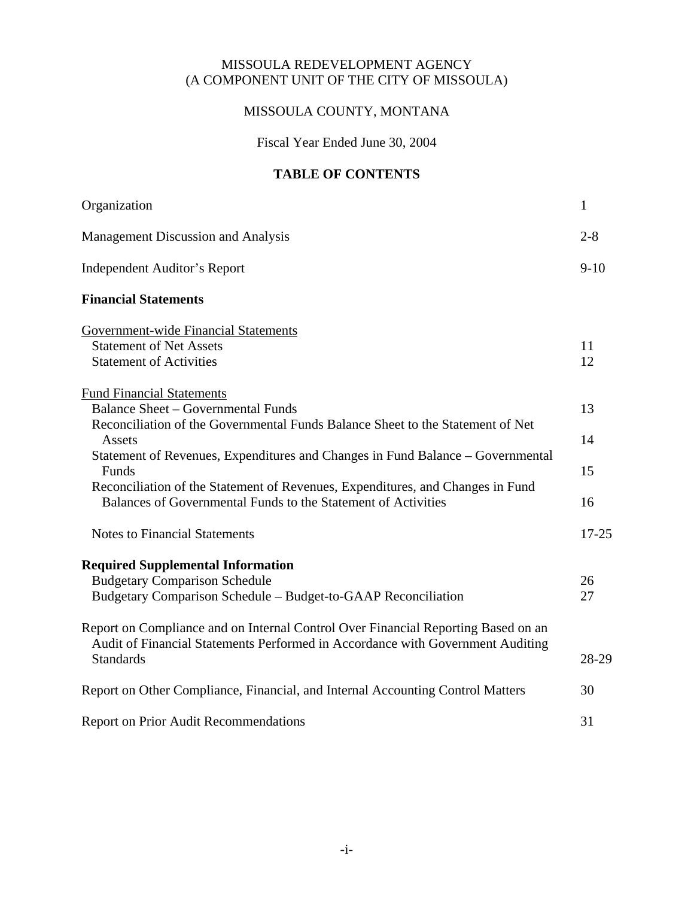### MISSOULA REDEVELOPMENT AGENCY (A COMPONENT UNIT OF THE CITY OF MISSOULA)

### MISSOULA COUNTY, MONTANA

Fiscal Year Ended June 30, 2004

### **TABLE OF CONTENTS**

| Organization                                                                                                                                                                                                                                                         | $\mathbf{1}$   |
|----------------------------------------------------------------------------------------------------------------------------------------------------------------------------------------------------------------------------------------------------------------------|----------------|
| Management Discussion and Analysis                                                                                                                                                                                                                                   | $2 - 8$        |
| <b>Independent Auditor's Report</b>                                                                                                                                                                                                                                  | $9 - 10$       |
| <b>Financial Statements</b>                                                                                                                                                                                                                                          |                |
| <b>Government-wide Financial Statements</b><br><b>Statement of Net Assets</b><br><b>Statement of Activities</b>                                                                                                                                                      | 11<br>12       |
| <b>Fund Financial Statements</b><br><b>Balance Sheet – Governmental Funds</b><br>Reconciliation of the Governmental Funds Balance Sheet to the Statement of Net<br>Assets<br>Statement of Revenues, Expenditures and Changes in Fund Balance – Governmental<br>Funds | 13<br>14<br>15 |
| Reconciliation of the Statement of Revenues, Expenditures, and Changes in Fund<br>Balances of Governmental Funds to the Statement of Activities                                                                                                                      | 16             |
| <b>Notes to Financial Statements</b>                                                                                                                                                                                                                                 | $17 - 25$      |
| <b>Required Supplemental Information</b><br><b>Budgetary Comparison Schedule</b><br>Budgetary Comparison Schedule - Budget-to-GAAP Reconciliation                                                                                                                    | 26<br>27       |
| Report on Compliance and on Internal Control Over Financial Reporting Based on an<br>Audit of Financial Statements Performed in Accordance with Government Auditing<br><b>Standards</b>                                                                              | 28-29          |
| Report on Other Compliance, Financial, and Internal Accounting Control Matters                                                                                                                                                                                       | 30             |
| <b>Report on Prior Audit Recommendations</b>                                                                                                                                                                                                                         | 31             |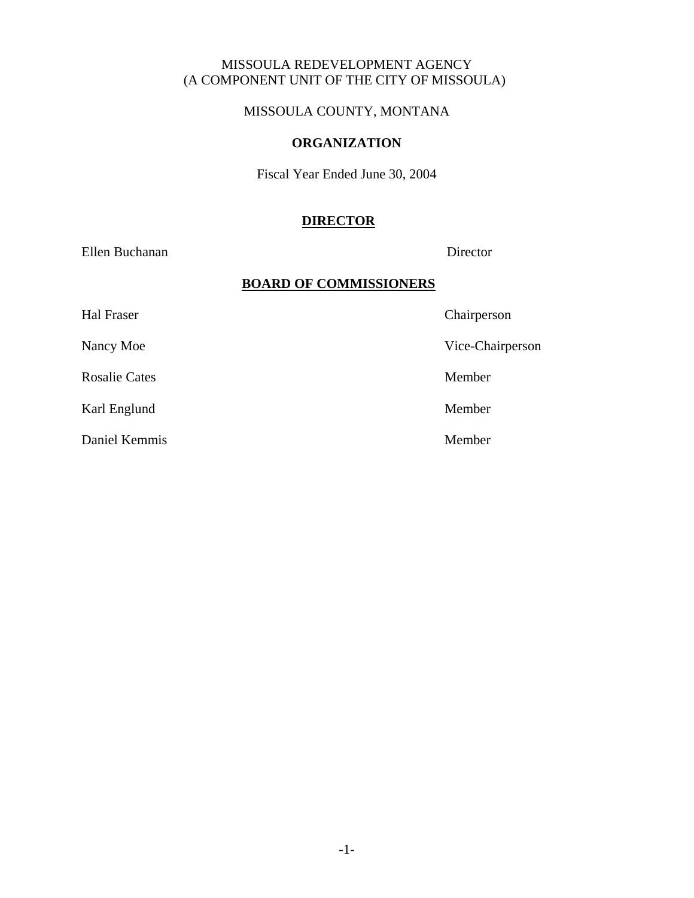### MISSOULA REDEVELOPMENT AGENCY (A COMPONENT UNIT OF THE CITY OF MISSOULA)

MISSOULA COUNTY, MONTANA

#### **ORGANIZATION**

Fiscal Year Ended June 30, 2004

### **DIRECTOR**

Ellen Buchanan Director

### **BOARD OF COMMISSIONERS**

Hal Fraser Chairperson Nancy Moe Vice-Chairperson Rosalie Cates Member Karl Englund Member Daniel Kemmis Member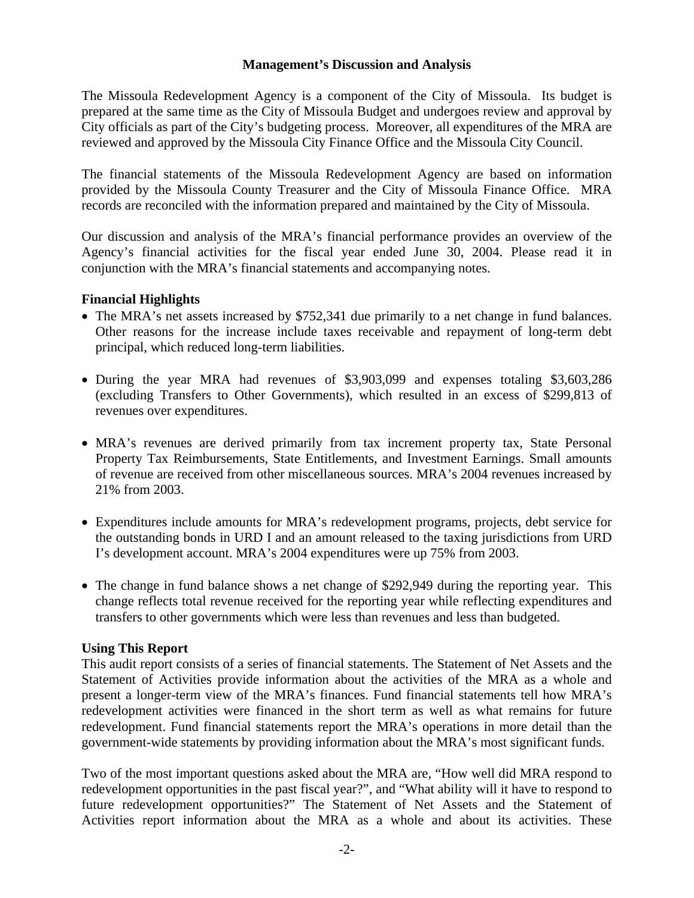#### **Management's Discussion and Analysis**

The Missoula Redevelopment Agency is a component of the City of Missoula. Its budget is prepared at the same time as the City of Missoula Budget and undergoes review and approval by City officials as part of the City's budgeting process. Moreover, all expenditures of the MRA are reviewed and approved by the Missoula City Finance Office and the Missoula City Council.

The financial statements of the Missoula Redevelopment Agency are based on information provided by the Missoula County Treasurer and the City of Missoula Finance Office. MRA records are reconciled with the information prepared and maintained by the City of Missoula.

Our discussion and analysis of the MRA's financial performance provides an overview of the Agency's financial activities for the fiscal year ended June 30, 2004. Please read it in conjunction with the MRA's financial statements and accompanying notes.

#### **Financial Highlights**

- The MRA's net assets increased by \$752,341 due primarily to a net change in fund balances. Other reasons for the increase include taxes receivable and repayment of long-term debt principal, which reduced long-term liabilities.
- During the year MRA had revenues of \$3,903,099 and expenses totaling \$3,603,286 (excluding Transfers to Other Governments), which resulted in an excess of \$299,813 of revenues over expenditures.
- MRA's revenues are derived primarily from tax increment property tax, State Personal Property Tax Reimbursements, State Entitlements, and Investment Earnings. Small amounts of revenue are received from other miscellaneous sources. MRA's 2004 revenues increased by 21% from 2003.
- Expenditures include amounts for MRA's redevelopment programs, projects, debt service for the outstanding bonds in URD I and an amount released to the taxing jurisdictions from URD I's development account. MRA's 2004 expenditures were up 75% from 2003.
- The change in fund balance shows a net change of \$292,949 during the reporting year. This change reflects total revenue received for the reporting year while reflecting expenditures and transfers to other governments which were less than revenues and less than budgeted.

#### **Using This Report**

This audit report consists of a series of financial statements. The Statement of Net Assets and the Statement of Activities provide information about the activities of the MRA as a whole and present a longer-term view of the MRA's finances. Fund financial statements tell how MRA's redevelopment activities were financed in the short term as well as what remains for future redevelopment. Fund financial statements report the MRA's operations in more detail than the government-wide statements by providing information about the MRA's most significant funds.

Two of the most important questions asked about the MRA are, "How well did MRA respond to redevelopment opportunities in the past fiscal year?", and "What ability will it have to respond to future redevelopment opportunities?" The Statement of Net Assets and the Statement of Activities report information about the MRA as a whole and about its activities. These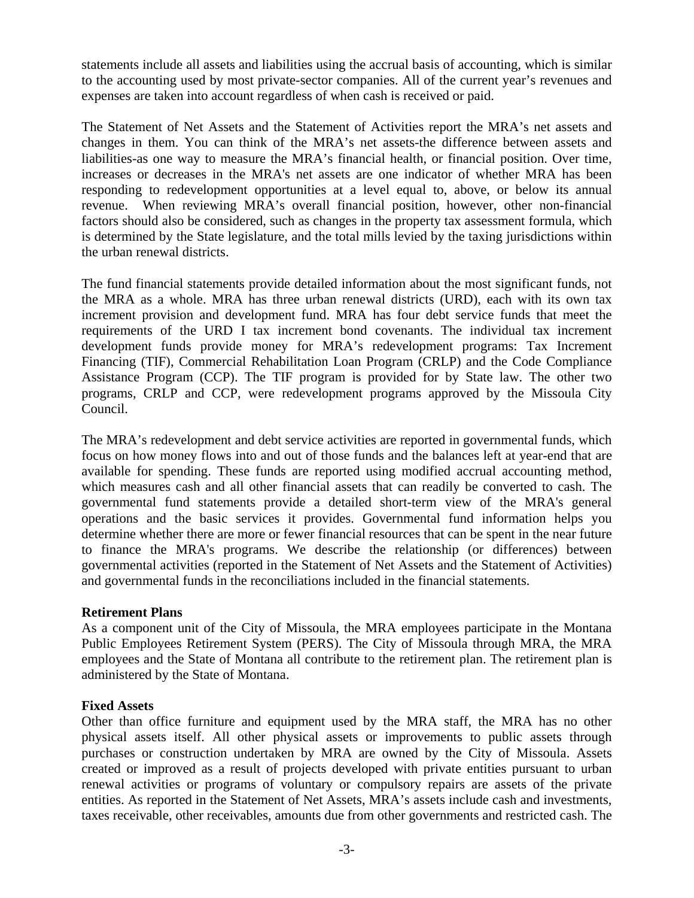statements include all assets and liabilities using the accrual basis of accounting, which is similar to the accounting used by most private-sector companies. All of the current year's revenues and expenses are taken into account regardless of when cash is received or paid.

The Statement of Net Assets and the Statement of Activities report the MRA's net assets and changes in them. You can think of the MRA's net assets-the difference between assets and liabilities-as one way to measure the MRA's financial health, or financial position. Over time, increases or decreases in the MRA's net assets are one indicator of whether MRA has been responding to redevelopment opportunities at a level equal to, above, or below its annual revenue. When reviewing MRA's overall financial position, however, other non-financial factors should also be considered, such as changes in the property tax assessment formula, which is determined by the State legislature, and the total mills levied by the taxing jurisdictions within the urban renewal districts.

The fund financial statements provide detailed information about the most significant funds, not the MRA as a whole. MRA has three urban renewal districts (URD), each with its own tax increment provision and development fund. MRA has four debt service funds that meet the requirements of the URD I tax increment bond covenants. The individual tax increment development funds provide money for MRA's redevelopment programs: Tax Increment Financing (TIF), Commercial Rehabilitation Loan Program (CRLP) and the Code Compliance Assistance Program (CCP). The TIF program is provided for by State law. The other two programs, CRLP and CCP, were redevelopment programs approved by the Missoula City Council.

The MRA's redevelopment and debt service activities are reported in governmental funds, which focus on how money flows into and out of those funds and the balances left at year-end that are available for spending. These funds are reported using modified accrual accounting method, which measures cash and all other financial assets that can readily be converted to cash. The governmental fund statements provide a detailed short-term view of the MRA's general operations and the basic services it provides. Governmental fund information helps you determine whether there are more or fewer financial resources that can be spent in the near future to finance the MRA's programs. We describe the relationship (or differences) between governmental activities (reported in the Statement of Net Assets and the Statement of Activities) and governmental funds in the reconciliations included in the financial statements.

### **Retirement Plans**

As a component unit of the City of Missoula, the MRA employees participate in the Montana Public Employees Retirement System (PERS). The City of Missoula through MRA, the MRA employees and the State of Montana all contribute to the retirement plan. The retirement plan is administered by the State of Montana.

### **Fixed Assets**

Other than office furniture and equipment used by the MRA staff, the MRA has no other physical assets itself. All other physical assets or improvements to public assets through purchases or construction undertaken by MRA are owned by the City of Missoula. Assets created or improved as a result of projects developed with private entities pursuant to urban renewal activities or programs of voluntary or compulsory repairs are assets of the private entities. As reported in the Statement of Net Assets, MRA's assets include cash and investments, taxes receivable, other receivables, amounts due from other governments and restricted cash. The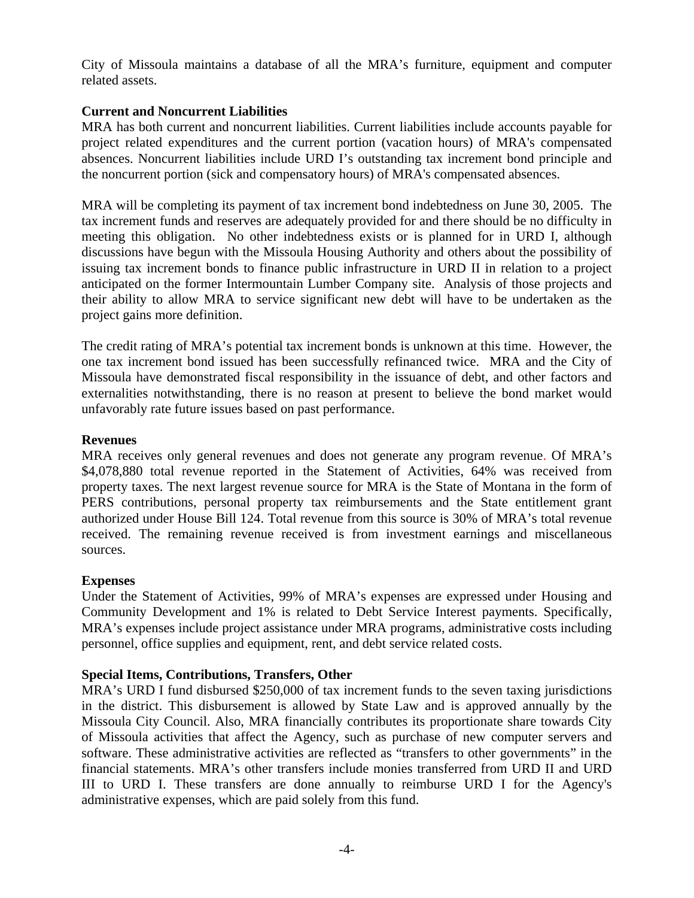City of Missoula maintains a database of all the MRA's furniture, equipment and computer related assets.

### **Current and Noncurrent Liabilities**

MRA has both current and noncurrent liabilities. Current liabilities include accounts payable for project related expenditures and the current portion (vacation hours) of MRA's compensated absences. Noncurrent liabilities include URD I's outstanding tax increment bond principle and the noncurrent portion (sick and compensatory hours) of MRA's compensated absences.

MRA will be completing its payment of tax increment bond indebtedness on June 30, 2005. The tax increment funds and reserves are adequately provided for and there should be no difficulty in meeting this obligation. No other indebtedness exists or is planned for in URD I, although discussions have begun with the Missoula Housing Authority and others about the possibility of issuing tax increment bonds to finance public infrastructure in URD II in relation to a project anticipated on the former Intermountain Lumber Company site. Analysis of those projects and their ability to allow MRA to service significant new debt will have to be undertaken as the project gains more definition.

The credit rating of MRA's potential tax increment bonds is unknown at this time. However, the one tax increment bond issued has been successfully refinanced twice. MRA and the City of Missoula have demonstrated fiscal responsibility in the issuance of debt, and other factors and externalities notwithstanding, there is no reason at present to believe the bond market would unfavorably rate future issues based on past performance.

### **Revenues**

MRA receives only general revenues and does not generate any program revenue. Of MRA's \$4,078,880 total revenue reported in the Statement of Activities, 64% was received from property taxes. The next largest revenue source for MRA is the State of Montana in the form of PERS contributions, personal property tax reimbursements and the State entitlement grant authorized under House Bill 124. Total revenue from this source is 30% of MRA's total revenue received. The remaining revenue received is from investment earnings and miscellaneous sources.

#### **Expenses**

Under the Statement of Activities, 99% of MRA's expenses are expressed under Housing and Community Development and 1% is related to Debt Service Interest payments. Specifically, MRA's expenses include project assistance under MRA programs, administrative costs including personnel, office supplies and equipment, rent, and debt service related costs.

#### **Special Items, Contributions, Transfers, Other**

MRA's URD I fund disbursed \$250,000 of tax increment funds to the seven taxing jurisdictions in the district. This disbursement is allowed by State Law and is approved annually by the Missoula City Council. Also, MRA financially contributes its proportionate share towards City of Missoula activities that affect the Agency, such as purchase of new computer servers and software. These administrative activities are reflected as "transfers to other governments" in the financial statements. MRA's other transfers include monies transferred from URD II and URD III to URD I. These transfers are done annually to reimburse URD I for the Agency's administrative expenses, which are paid solely from this fund.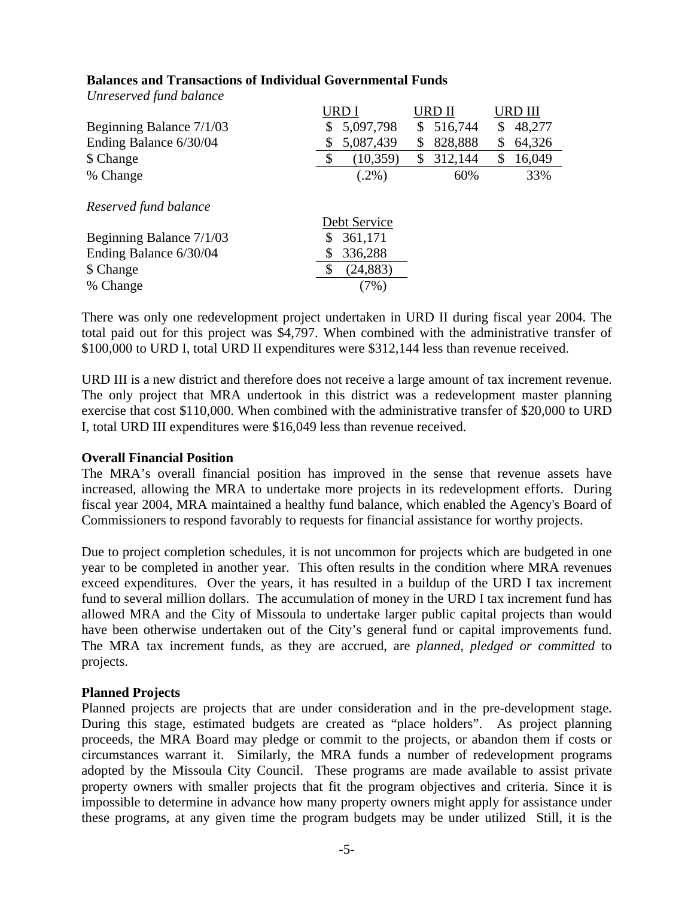|                                                   | URD I                         | URD II        |              |  |
|---------------------------------------------------|-------------------------------|---------------|--------------|--|
| Beginning Balance 7/1/03                          | \$<br>5,097,798               | 516,744<br>\$ | 48,277<br>S  |  |
| Ending Balance 6/30/04                            | 5,087,439<br>\$               | 828,888<br>\$ | 64,326<br>S  |  |
| \$ Change                                         | \$<br>(10, 359)               | 312,144<br>\$ | 16,049<br>\$ |  |
| % Change                                          | $(.2\%)$                      | 60%           | 33%          |  |
| Reserved fund balance<br>Beginning Balance 7/1/03 | Debt Service<br>361,171<br>\$ |               |              |  |
| Ending Balance 6/30/04                            | 336,288<br>\$                 |               |              |  |
| \$ Change                                         | \$<br>(24, 883)               |               |              |  |
| % Change                                          | $7\%)$                        |               |              |  |
|                                                   |                               |               |              |  |

#### **Balances and Transactions of Individual Governmental Funds**

There was only one redevelopment project undertaken in URD II during fiscal year 2004. The total paid out for this project was \$4,797. When combined with the administrative transfer of \$100,000 to URD I, total URD II expenditures were \$312,144 less than revenue received.

URD III is a new district and therefore does not receive a large amount of tax increment revenue. The only project that MRA undertook in this district was a redevelopment master planning exercise that cost \$110,000. When combined with the administrative transfer of \$20,000 to URD I, total URD III expenditures were \$16,049 less than revenue received.

### **Overall Financial Position**

*Unreserved fund balance* 

The MRA's overall financial position has improved in the sense that revenue assets have increased, allowing the MRA to undertake more projects in its redevelopment efforts. During fiscal year 2004, MRA maintained a healthy fund balance, which enabled the Agency's Board of Commissioners to respond favorably to requests for financial assistance for worthy projects.

Due to project completion schedules, it is not uncommon for projects which are budgeted in one year to be completed in another year. This often results in the condition where MRA revenues exceed expenditures. Over the years, it has resulted in a buildup of the URD I tax increment fund to several million dollars. The accumulation of money in the URD I tax increment fund has allowed MRA and the City of Missoula to undertake larger public capital projects than would have been otherwise undertaken out of the City's general fund or capital improvements fund. The MRA tax increment funds, as they are accrued, are *planned, pledged or committed* to projects.

#### **Planned Projects**

Planned projects are projects that are under consideration and in the pre-development stage. During this stage, estimated budgets are created as "place holders". As project planning proceeds, the MRA Board may pledge or commit to the projects, or abandon them if costs or circumstances warrant it. Similarly, the MRA funds a number of redevelopment programs adopted by the Missoula City Council. These programs are made available to assist private property owners with smaller projects that fit the program objectives and criteria. Since it is impossible to determine in advance how many property owners might apply for assistance under these programs, at any given time the program budgets may be under utilized Still, it is the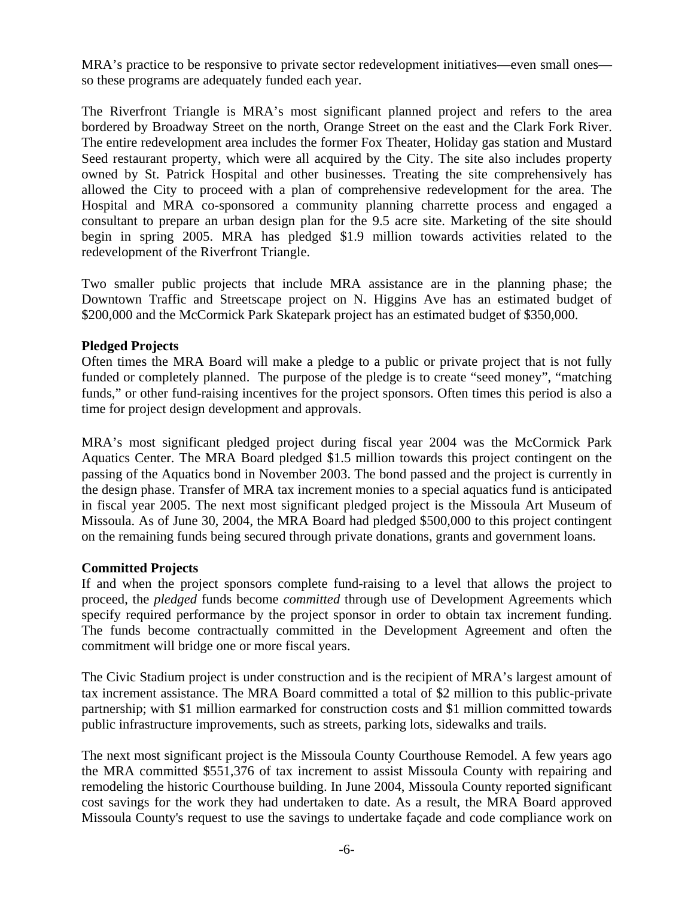MRA's practice to be responsive to private sector redevelopment initiatives—even small ones so these programs are adequately funded each year.

The Riverfront Triangle is MRA's most significant planned project and refers to the area bordered by Broadway Street on the north, Orange Street on the east and the Clark Fork River. The entire redevelopment area includes the former Fox Theater, Holiday gas station and Mustard Seed restaurant property, which were all acquired by the City. The site also includes property owned by St. Patrick Hospital and other businesses. Treating the site comprehensively has allowed the City to proceed with a plan of comprehensive redevelopment for the area. The Hospital and MRA co-sponsored a community planning charrette process and engaged a consultant to prepare an urban design plan for the 9.5 acre site. Marketing of the site should begin in spring 2005. MRA has pledged \$1.9 million towards activities related to the redevelopment of the Riverfront Triangle.

Two smaller public projects that include MRA assistance are in the planning phase; the Downtown Traffic and Streetscape project on N. Higgins Ave has an estimated budget of \$200,000 and the McCormick Park Skatepark project has an estimated budget of \$350,000.

### **Pledged Projects**

Often times the MRA Board will make a pledge to a public or private project that is not fully funded or completely planned. The purpose of the pledge is to create "seed money", "matching funds," or other fund-raising incentives for the project sponsors. Often times this period is also a time for project design development and approvals.

MRA's most significant pledged project during fiscal year 2004 was the McCormick Park Aquatics Center. The MRA Board pledged \$1.5 million towards this project contingent on the passing of the Aquatics bond in November 2003. The bond passed and the project is currently in the design phase. Transfer of MRA tax increment monies to a special aquatics fund is anticipated in fiscal year 2005. The next most significant pledged project is the Missoula Art Museum of Missoula. As of June 30, 2004, the MRA Board had pledged \$500,000 to this project contingent on the remaining funds being secured through private donations, grants and government loans.

### **Committed Projects**

If and when the project sponsors complete fund-raising to a level that allows the project to proceed, the *pledged* funds become *committed* through use of Development Agreements which specify required performance by the project sponsor in order to obtain tax increment funding. The funds become contractually committed in the Development Agreement and often the commitment will bridge one or more fiscal years.

The Civic Stadium project is under construction and is the recipient of MRA's largest amount of tax increment assistance. The MRA Board committed a total of \$2 million to this public-private partnership; with \$1 million earmarked for construction costs and \$1 million committed towards public infrastructure improvements, such as streets, parking lots, sidewalks and trails.

The next most significant project is the Missoula County Courthouse Remodel. A few years ago the MRA committed \$551,376 of tax increment to assist Missoula County with repairing and remodeling the historic Courthouse building. In June 2004, Missoula County reported significant cost savings for the work they had undertaken to date. As a result, the MRA Board approved Missoula County's request to use the savings to undertake façade and code compliance work on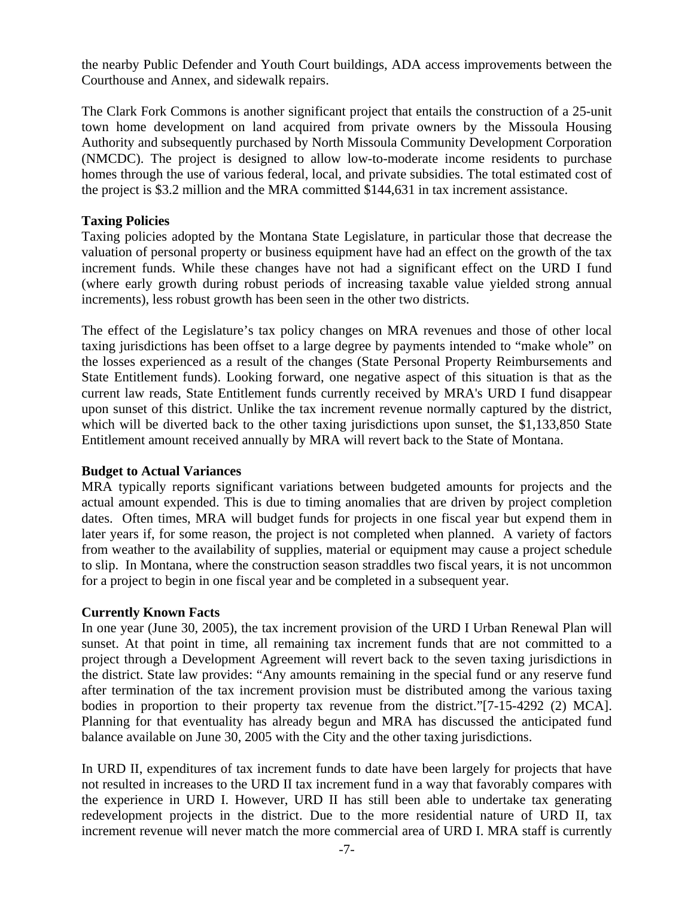the nearby Public Defender and Youth Court buildings, ADA access improvements between the Courthouse and Annex, and sidewalk repairs.

The Clark Fork Commons is another significant project that entails the construction of a 25-unit town home development on land acquired from private owners by the Missoula Housing Authority and subsequently purchased by North Missoula Community Development Corporation (NMCDC). The project is designed to allow low-to-moderate income residents to purchase homes through the use of various federal, local, and private subsidies. The total estimated cost of the project is \$3.2 million and the MRA committed \$144,631 in tax increment assistance.

#### **Taxing Policies**

Taxing policies adopted by the Montana State Legislature, in particular those that decrease the valuation of personal property or business equipment have had an effect on the growth of the tax increment funds. While these changes have not had a significant effect on the URD I fund (where early growth during robust periods of increasing taxable value yielded strong annual increments), less robust growth has been seen in the other two districts.

The effect of the Legislature's tax policy changes on MRA revenues and those of other local taxing jurisdictions has been offset to a large degree by payments intended to "make whole" on the losses experienced as a result of the changes (State Personal Property Reimbursements and State Entitlement funds). Looking forward, one negative aspect of this situation is that as the current law reads, State Entitlement funds currently received by MRA's URD I fund disappear upon sunset of this district. Unlike the tax increment revenue normally captured by the district, which will be diverted back to the other taxing jurisdictions upon sunset, the \$1,133,850 State Entitlement amount received annually by MRA will revert back to the State of Montana.

#### **Budget to Actual Variances**

MRA typically reports significant variations between budgeted amounts for projects and the actual amount expended. This is due to timing anomalies that are driven by project completion dates. Often times, MRA will budget funds for projects in one fiscal year but expend them in later years if, for some reason, the project is not completed when planned. A variety of factors from weather to the availability of supplies, material or equipment may cause a project schedule to slip. In Montana, where the construction season straddles two fiscal years, it is not uncommon for a project to begin in one fiscal year and be completed in a subsequent year.

### **Currently Known Facts**

In one year (June 30, 2005), the tax increment provision of the URD I Urban Renewal Plan will sunset. At that point in time, all remaining tax increment funds that are not committed to a project through a Development Agreement will revert back to the seven taxing jurisdictions in the district. State law provides: "Any amounts remaining in the special fund or any reserve fund after termination of the tax increment provision must be distributed among the various taxing bodies in proportion to their property tax revenue from the district."[7-15-4292 (2) MCA]. Planning for that eventuality has already begun and MRA has discussed the anticipated fund balance available on June 30, 2005 with the City and the other taxing jurisdictions.

In URD II, expenditures of tax increment funds to date have been largely for projects that have not resulted in increases to the URD II tax increment fund in a way that favorably compares with the experience in URD I. However, URD II has still been able to undertake tax generating redevelopment projects in the district. Due to the more residential nature of URD II, tax increment revenue will never match the more commercial area of URD I. MRA staff is currently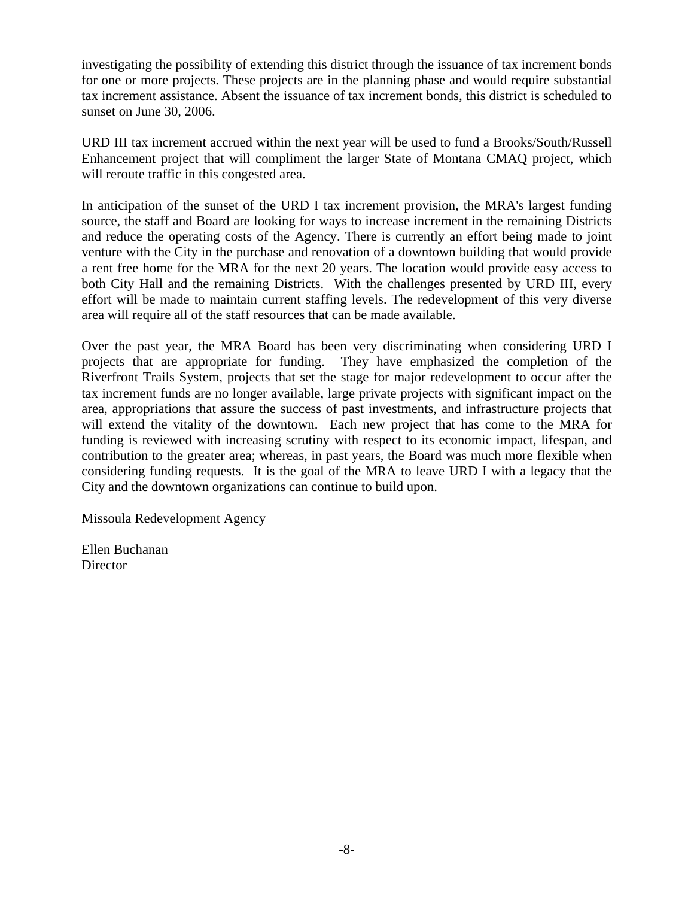investigating the possibility of extending this district through the issuance of tax increment bonds for one or more projects. These projects are in the planning phase and would require substantial tax increment assistance. Absent the issuance of tax increment bonds, this district is scheduled to sunset on June 30, 2006.

URD III tax increment accrued within the next year will be used to fund a Brooks/South/Russell Enhancement project that will compliment the larger State of Montana CMAQ project, which will reroute traffic in this congested area.

In anticipation of the sunset of the URD I tax increment provision, the MRA's largest funding source, the staff and Board are looking for ways to increase increment in the remaining Districts and reduce the operating costs of the Agency. There is currently an effort being made to joint venture with the City in the purchase and renovation of a downtown building that would provide a rent free home for the MRA for the next 20 years. The location would provide easy access to both City Hall and the remaining Districts. With the challenges presented by URD III, every effort will be made to maintain current staffing levels. The redevelopment of this very diverse area will require all of the staff resources that can be made available.

Over the past year, the MRA Board has been very discriminating when considering URD I projects that are appropriate for funding. They have emphasized the completion of the Riverfront Trails System, projects that set the stage for major redevelopment to occur after the tax increment funds are no longer available, large private projects with significant impact on the area, appropriations that assure the success of past investments, and infrastructure projects that will extend the vitality of the downtown. Each new project that has come to the MRA for funding is reviewed with increasing scrutiny with respect to its economic impact, lifespan, and contribution to the greater area; whereas, in past years, the Board was much more flexible when considering funding requests. It is the goal of the MRA to leave URD I with a legacy that the City and the downtown organizations can continue to build upon.

Missoula Redevelopment Agency

Ellen Buchanan **Director**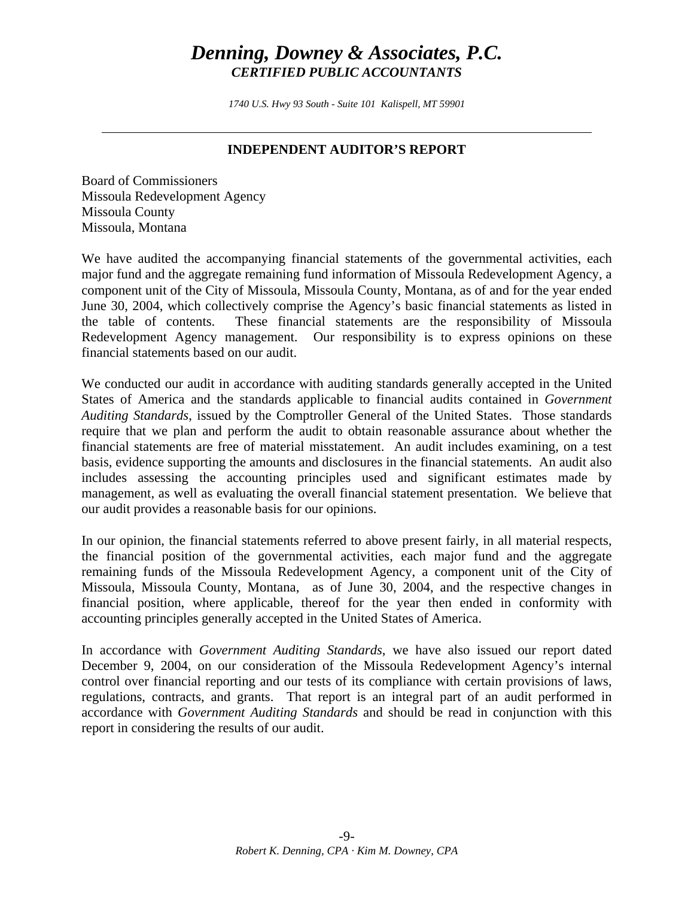# *Denning, Downey & Associates, P.C. CERTIFIED PUBLIC ACCOUNTANTS*

*1740 U.S. Hwy 93 South - Suite 101 Kalispell, MT 59901* 

### **INDEPENDENT AUDITOR'S REPORT**

Board of Commissioners Missoula Redevelopment Agency Missoula County Missoula, Montana

We have audited the accompanying financial statements of the governmental activities, each major fund and the aggregate remaining fund information of Missoula Redevelopment Agency, a component unit of the City of Missoula, Missoula County, Montana, as of and for the year ended June 30, 2004, which collectively comprise the Agency's basic financial statements as listed in the table of contents. These financial statements are the responsibility of Missoula Redevelopment Agency management. Our responsibility is to express opinions on these financial statements based on our audit.

We conducted our audit in accordance with auditing standards generally accepted in the United States of America and the standards applicable to financial audits contained in *Government Auditing Standards*, issued by the Comptroller General of the United States. Those standards require that we plan and perform the audit to obtain reasonable assurance about whether the financial statements are free of material misstatement. An audit includes examining, on a test basis, evidence supporting the amounts and disclosures in the financial statements. An audit also includes assessing the accounting principles used and significant estimates made by management, as well as evaluating the overall financial statement presentation. We believe that our audit provides a reasonable basis for our opinions.

In our opinion, the financial statements referred to above present fairly, in all material respects, the financial position of the governmental activities, each major fund and the aggregate remaining funds of the Missoula Redevelopment Agency, a component unit of the City of Missoula, Missoula County, Montana, as of June 30, 2004, and the respective changes in financial position, where applicable, thereof for the year then ended in conformity with accounting principles generally accepted in the United States of America.

In accordance with *Government Auditing Standards*, we have also issued our report dated December 9, 2004, on our consideration of the Missoula Redevelopment Agency's internal control over financial reporting and our tests of its compliance with certain provisions of laws, regulations, contracts, and grants. That report is an integral part of an audit performed in accordance with *Government Auditing Standards* and should be read in conjunction with this report in considering the results of our audit.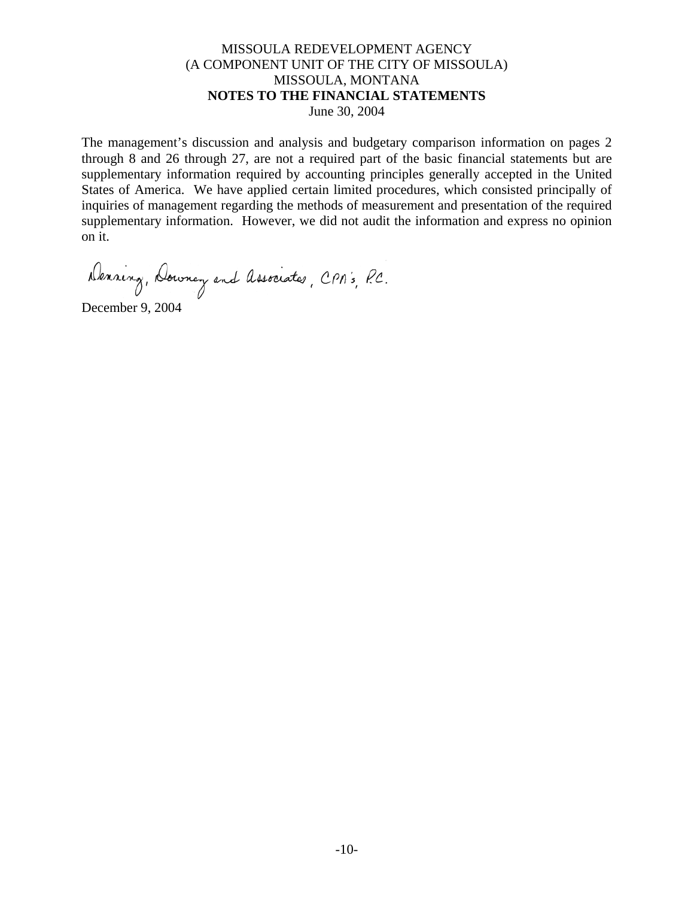#### MISSOULA REDEVELOPMENT AGENCY (A COMPONENT UNIT OF THE CITY OF MISSOULA) MISSOULA, MONTANA **NOTES TO THE FINANCIAL STATEMENTS** June 30, 2004

The management's discussion and analysis and budgetary comparison information on pages 2 through 8 and 26 through 27, are not a required part of the basic financial statements but are supplementary information required by accounting principles generally accepted in the United States of America. We have applied certain limited procedures, which consisted principally of inquiries of management regarding the methods of measurement and presentation of the required supplementary information. However, we did not audit the information and express no opinion on it.

Denning, Downey and Associates, CPA's, P.C.

December 9, 2004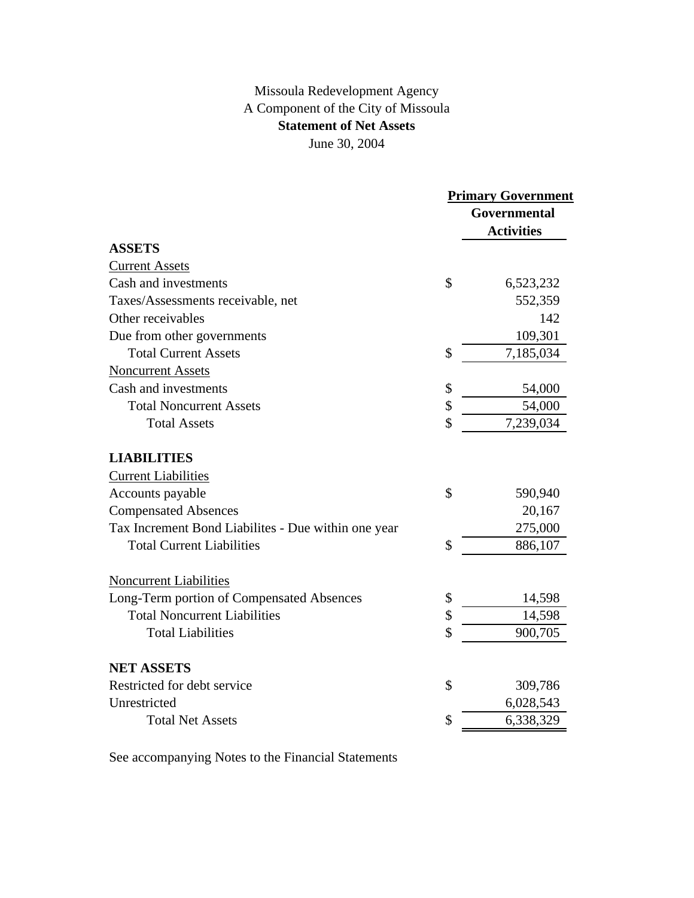## Missoula Redevelopment Agency A Component of the City of Missoula **Statement of Net Assets** June 30, 2004

|                                                     |               | <b>Primary Government</b> |
|-----------------------------------------------------|---------------|---------------------------|
|                                                     |               | Governmental              |
|                                                     |               | <b>Activities</b>         |
| <b>ASSETS</b>                                       |               |                           |
| <b>Current Assets</b>                               |               |                           |
| Cash and investments                                | $\mathcal{S}$ | 6,523,232                 |
| Taxes/Assessments receivable, net                   |               | 552,359                   |
| Other receivables                                   |               | 142                       |
| Due from other governments                          |               | 109,301                   |
| <b>Total Current Assets</b>                         | \$            | 7,185,034                 |
| <b>Noncurrent Assets</b>                            |               |                           |
| Cash and investments                                | \$            | 54,000                    |
| <b>Total Noncurrent Assets</b>                      | \$            | 54,000                    |
| <b>Total Assets</b>                                 | \$            | 7,239,034                 |
| <b>LIABILITIES</b>                                  |               |                           |
| <b>Current Liabilities</b>                          |               |                           |
| Accounts payable                                    | \$            | 590,940                   |
| <b>Compensated Absences</b>                         |               | 20,167                    |
| Tax Increment Bond Liabilites - Due within one year |               | 275,000                   |
| <b>Total Current Liabilities</b>                    | \$            | 886,107                   |
| <b>Noncurrent Liabilities</b>                       |               |                           |
| Long-Term portion of Compensated Absences           | \$            | 14,598                    |
| <b>Total Noncurrent Liabilities</b>                 | \$            | 14,598                    |
| <b>Total Liabilities</b>                            | \$            | 900,705                   |
| <b>NET ASSETS</b>                                   |               |                           |
| Restricted for debt service                         | \$            | 309,786                   |
| Unrestricted                                        |               | 6,028,543                 |
| <b>Total Net Assets</b>                             | \$            | 6,338,329                 |
|                                                     |               |                           |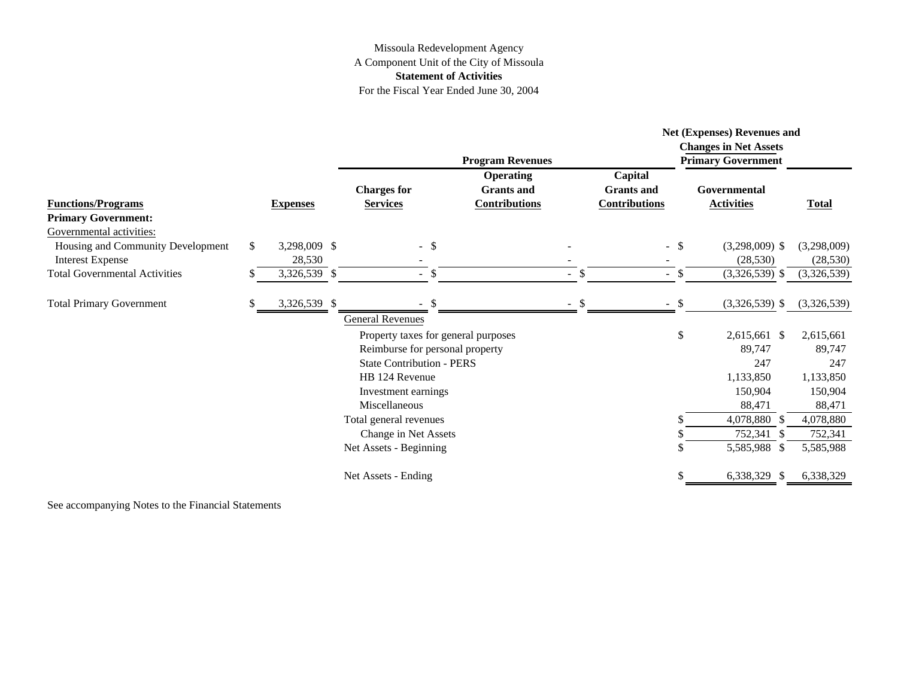#### Missoula Redevelopment Agency A Component Unit of the City of Missoula **Statement of Activities** For the Fiscal Year Ended June 30, 2004

| <b>Functions/Programs</b><br><b>Primary Government:</b>                                  |    |                        |                                       |               | <b>Program Revenues</b>                                       |        |                                                      |        | Net (Expenses) Revenues and<br><b>Changes in Net Assets</b><br><b>Primary Government</b> |                          |
|------------------------------------------------------------------------------------------|----|------------------------|---------------------------------------|---------------|---------------------------------------------------------------|--------|------------------------------------------------------|--------|------------------------------------------------------------------------------------------|--------------------------|
|                                                                                          |    | <b>Expenses</b>        | <b>Charges for</b><br><b>Services</b> |               | <b>Operating</b><br><b>Grants</b> and<br><b>Contributions</b> |        | Capital<br><b>Grants</b> and<br><b>Contributions</b> |        | Governmental<br><b>Activities</b>                                                        | <b>Total</b>             |
| Governmental activities:<br>Housing and Community Development<br><b>Interest Expense</b> | \$ | 3,298,009 \$<br>28,530 | $-$ \$                                |               |                                                               |        |                                                      | $-$ \$ | $(3,298,009)$ \$<br>(28, 530)                                                            | (3,298,009)<br>(28, 530) |
| <b>Total Governmental Activities</b>                                                     |    | 3,326,539 \$           | $-$ \$                                |               |                                                               | $-$ \$ |                                                      | $-$ \$ | $(3,326,539)$ \$                                                                         | (3,326,539)              |
| <b>Total Primary Government</b>                                                          |    | 3,326,539 \$           |                                       | $\mathcal{S}$ |                                                               | - \$   |                                                      | $-$ \$ | $(3,326,539)$ \$                                                                         | (3,326,539)              |
|                                                                                          |    |                        | <b>General Revenues</b>               |               |                                                               |        |                                                      |        |                                                                                          |                          |
|                                                                                          |    |                        | Property taxes for general purposes   |               |                                                               |        |                                                      | \$     | 2,615,661 \$                                                                             | 2,615,661                |
|                                                                                          |    |                        | Reimburse for personal property       |               |                                                               |        |                                                      |        | 89,747                                                                                   | 89,747                   |
|                                                                                          |    |                        | <b>State Contribution - PERS</b>      |               |                                                               |        |                                                      |        | 247                                                                                      | 247                      |
|                                                                                          |    |                        | HB 124 Revenue                        |               |                                                               |        |                                                      |        | 1,133,850                                                                                | 1,133,850                |
|                                                                                          |    |                        | Investment earnings                   |               |                                                               |        |                                                      |        | 150,904                                                                                  | 150,904                  |
|                                                                                          |    |                        | Miscellaneous                         |               |                                                               |        |                                                      |        | 88,471                                                                                   | 88,471                   |
|                                                                                          |    |                        | Total general revenues                |               |                                                               |        |                                                      |        | 4,078,880 \$                                                                             | 4,078,880                |
|                                                                                          |    |                        | Change in Net Assets                  |               |                                                               |        |                                                      |        | 752,341 \$                                                                               | 752,341                  |
|                                                                                          |    |                        | Net Assets - Beginning                |               |                                                               |        |                                                      |        | 5,585,988 \$                                                                             | 5,585,988                |
|                                                                                          |    |                        | Net Assets - Ending                   |               |                                                               |        |                                                      |        | 6,338,329 \$                                                                             | 6,338,329                |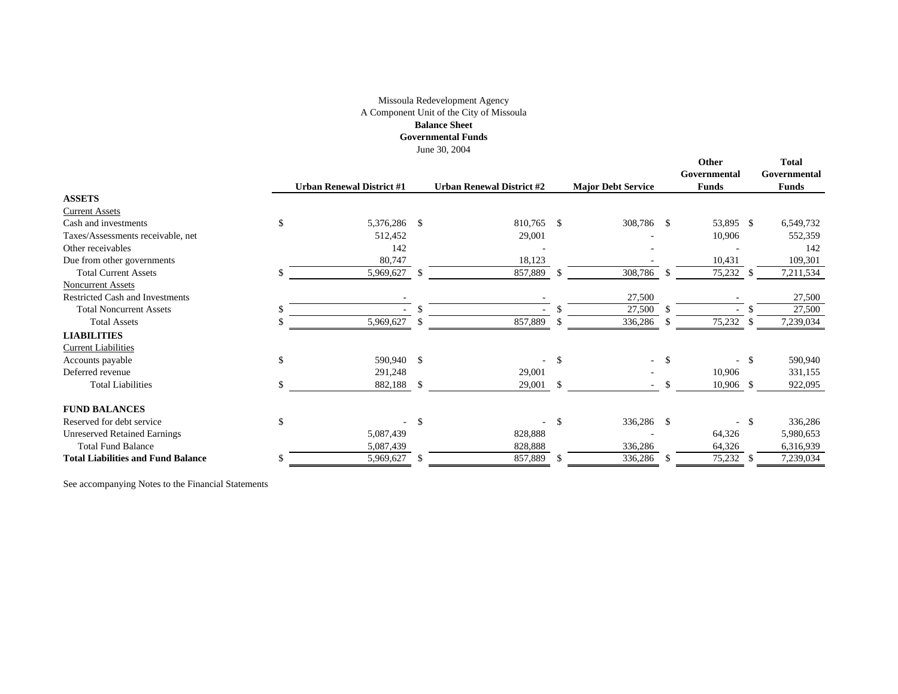#### Missoula Redevelopment Agency A Component Unit of the City of Missoula **Balance Sheet**

**Governmental Funds**

June 30, 2004

|                                           |               | <b>Urban Renewal District #1</b> |     | <b>Urban Renewal District #2</b> |     | <b>Major Debt Service</b> |             | Other<br>Governmental<br><b>Funds</b> |              | <b>Total</b><br>Governmental<br><b>Funds</b> |
|-------------------------------------------|---------------|----------------------------------|-----|----------------------------------|-----|---------------------------|-------------|---------------------------------------|--------------|----------------------------------------------|
| <b>ASSETS</b>                             |               |                                  |     |                                  |     |                           |             |                                       |              |                                              |
| <b>Current Assets</b>                     |               |                                  |     |                                  |     |                           |             |                                       |              |                                              |
| Cash and investments                      | <sup>\$</sup> | 5,376,286                        | -\$ | 810,765 \$                       |     | 308,786 \$                |             | 53,895 \$                             |              | 6,549,732                                    |
| Taxes/Assessments receivable, net         |               | 512,452                          |     | 29,001                           |     |                           |             | 10,906                                |              | 552,359                                      |
| Other receivables                         |               | 142                              |     |                                  |     |                           |             |                                       |              | 142                                          |
| Due from other governments                |               | 80,747                           |     | 18,123                           |     |                           |             | 10,431                                |              | 109,301                                      |
| <b>Total Current Assets</b>               | £.            | 5,969,627                        | -S  | 857,889                          | -S  | 308,786                   | -\$         | 75,232                                | <sup>S</sup> | 7,211,534                                    |
| <b>Noncurrent Assets</b>                  |               |                                  |     |                                  |     |                           |             |                                       |              |                                              |
| <b>Restricted Cash and Investments</b>    |               |                                  |     |                                  |     | 27,500                    |             |                                       |              | 27,500                                       |
| <b>Total Noncurrent Assets</b>            |               |                                  |     |                                  |     | 27,500                    |             |                                       |              | 27,500                                       |
| <b>Total Assets</b>                       |               | 5,969,627                        |     | 857,889                          |     | 336,286                   |             | 75,232                                |              | 7,239,034                                    |
| <b>LIABILITIES</b>                        |               |                                  |     |                                  |     |                           |             |                                       |              |                                              |
| <b>Current Liabilities</b>                |               |                                  |     |                                  |     |                           |             |                                       |              |                                              |
| Accounts payable                          | \$            | 590,940                          | -\$ | ÷.                               | \$  | $\sim$                    | -\$         |                                       | $-$ \$       | 590,940                                      |
| Deferred revenue                          |               | 291,248                          |     | 29,001                           |     |                           |             | 10,906                                |              | 331,155                                      |
| <b>Total Liabilities</b>                  |               | 882,188                          | -\$ | 29,001                           | -\$ |                           |             | $10,906$ \$                           |              | 922,095                                      |
| <b>FUND BALANCES</b>                      |               |                                  |     |                                  |     |                           |             |                                       |              |                                              |
| Reserved for debt service                 | <sup>\$</sup> |                                  | \$  | $\overline{\phantom{a}}$         | -S  | 336,286                   | $\mathbf S$ | $\sim$                                | - \$         | 336,286                                      |
| <b>Unreserved Retained Earnings</b>       |               | 5,087,439                        |     | 828,888                          |     |                           |             | 64,326                                |              | 5,980,653                                    |
| <b>Total Fund Balance</b>                 |               | 5,087,439                        |     | 828,888                          |     | 336,286                   |             | 64,326                                |              | 6,316,939                                    |
| <b>Total Liabilities and Fund Balance</b> |               | 5,969,627                        | S.  | 857,889                          | -S  | 336,286                   | -S          | 75,232                                | -S           | 7,239,034                                    |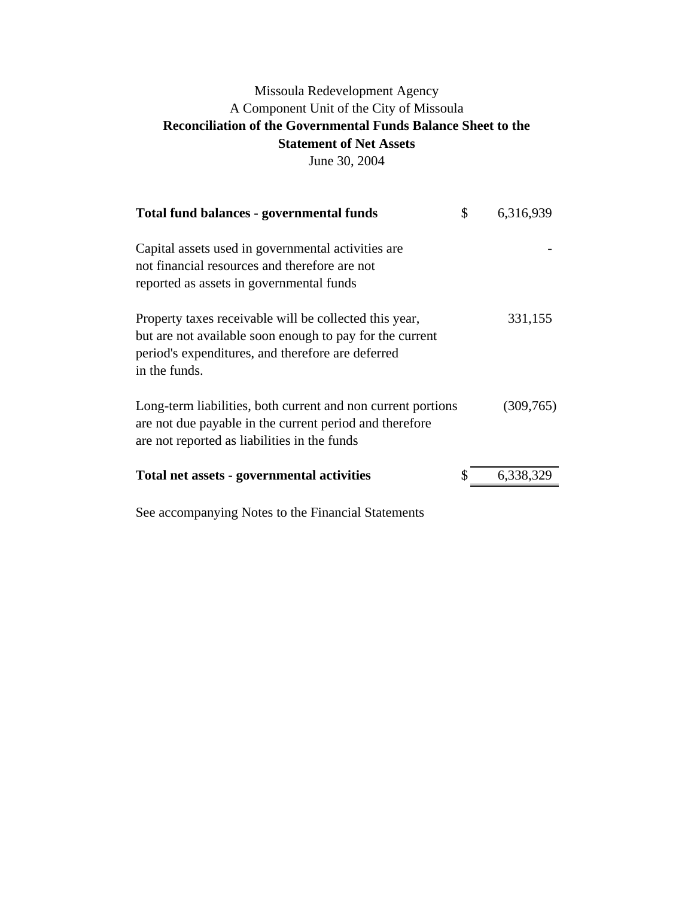# Missoula Redevelopment Agency A Component Unit of the City of Missoula **Reconciliation of the Governmental Funds Balance Sheet to the Statement of Net Assets**

June 30, 2004

| <b>Total fund balances - governmental funds</b>                                                                                                                                          | \$<br>6,316,939 |
|------------------------------------------------------------------------------------------------------------------------------------------------------------------------------------------|-----------------|
| Capital assets used in governmental activities are.<br>not financial resources and therefore are not<br>reported as assets in governmental funds                                         |                 |
| Property taxes receivable will be collected this year,<br>but are not available soon enough to pay for the current<br>period's expenditures, and therefore are deferred<br>in the funds. | 331,155         |
| Long-term liabilities, both current and non current portions<br>are not due payable in the current period and therefore<br>are not reported as liabilities in the funds                  | (309,765)       |
| Total net assets - governmental activities                                                                                                                                               | 6,338,329       |
|                                                                                                                                                                                          |                 |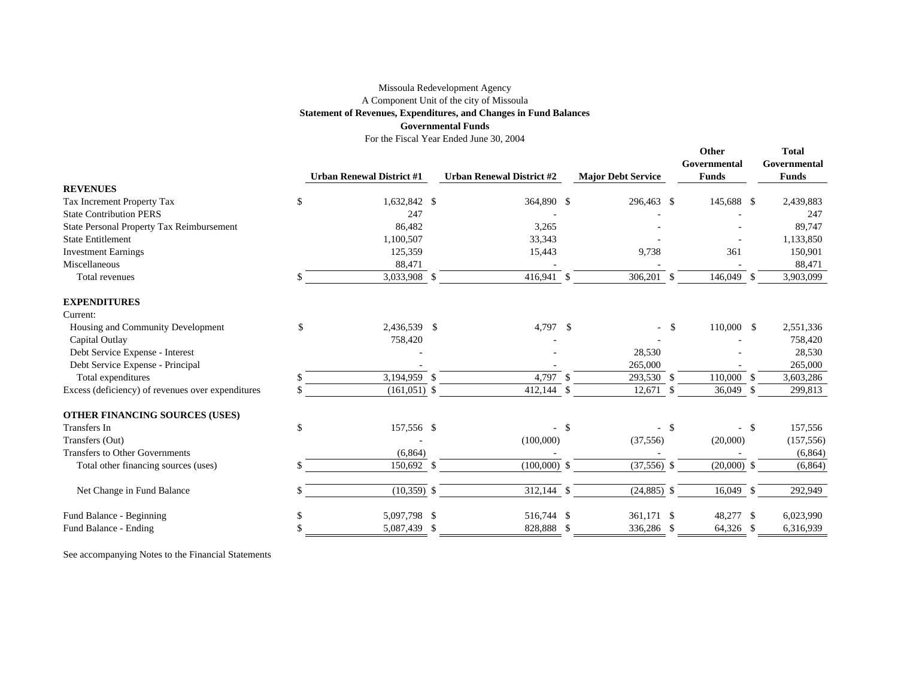#### Missoula Redevelopment Agency A Component Unit of the city of Missoula

#### **Statement of Revenues, Expenditures, and Changes in Fund Balances**

#### **Governmental Funds**

For the Fiscal Year Ended June 30, 2004

|                                                   | <b>Urban Renewal District #1</b> |      | <b>Urban Renewal District #2</b> |               | <b>Major Debt Service</b> |               | Other<br>Governmental<br><b>Funds</b> |      | <b>Total</b><br>Governmental<br><b>Funds</b> |
|---------------------------------------------------|----------------------------------|------|----------------------------------|---------------|---------------------------|---------------|---------------------------------------|------|----------------------------------------------|
| <b>REVENUES</b>                                   |                                  |      |                                  |               |                           |               |                                       |      |                                              |
| Tax Increment Property Tax                        | \$<br>1,632,842 \$               |      | 364,890 \$                       |               | 296,463 \$                |               | 145,688 \$                            |      | 2,439,883                                    |
| <b>State Contribution PERS</b>                    | 247                              |      |                                  |               |                           |               |                                       |      | 247                                          |
| State Personal Property Tax Reimbursement         | 86,482                           |      | 3,265                            |               |                           |               |                                       |      | 89,747                                       |
| <b>State Entitlement</b>                          | 1,100,507                        |      | 33,343                           |               |                           |               |                                       |      | 1,133,850                                    |
| <b>Investment Earnings</b>                        | 125,359                          |      | 15,443                           |               | 9,738                     |               | 361                                   |      | 150,901                                      |
| Miscellaneous                                     | 88,471                           |      |                                  |               |                           |               |                                       |      | 88,471                                       |
| Total revenues                                    | 3,033,908 \$                     |      | 416,941 \$                       |               | 306,201 \$                |               | 146,049 \$                            |      | 3,903,099                                    |
| <b>EXPENDITURES</b>                               |                                  |      |                                  |               |                           |               |                                       |      |                                              |
| Current:                                          |                                  |      |                                  |               |                           |               |                                       |      |                                              |
| Housing and Community Development                 | \$<br>2,436,539 \$               |      | 4,797                            | $\mathcal{S}$ |                           | -\$           | 110,000 \$                            |      | 2,551,336                                    |
| Capital Outlay                                    | 758,420                          |      |                                  |               |                           |               |                                       |      | 758,420                                      |
| Debt Service Expense - Interest                   |                                  |      |                                  |               | 28,530                    |               |                                       |      | 28,530                                       |
| Debt Service Expense - Principal                  |                                  |      |                                  |               | 265,000                   |               |                                       |      | 265,000                                      |
| Total expenditures                                | $3,194,959$ \$                   |      | 4,797                            | - \$          | 293,530 \$                |               | 110,000                               | -\$  | 3,603,286                                    |
| Excess (deficiency) of revenues over expenditures | $(161, 051)$ \$                  |      | $412,144$ \$                     |               | $12,671$ \$               |               | 36,049 \$                             |      | 299,813                                      |
| OTHER FINANCING SOURCES (USES)                    |                                  |      |                                  |               |                           |               |                                       |      |                                              |
| Transfers In                                      | \$<br>157,556 \$                 |      |                                  | -\$           | $\blacksquare$            | $\mathbf{\$}$ | $-$ \$                                |      | 157,556                                      |
| Transfers (Out)                                   |                                  |      | (100,000)                        |               | (37, 556)                 |               | (20,000)                              |      | (157, 556)                                   |
| <b>Transfers to Other Governments</b>             | (6,864)                          |      |                                  |               |                           |               |                                       |      | (6,864)                                      |
| Total other financing sources (uses)              | 150,692 \$                       |      | $(100,000)$ \$                   |               | $(37,556)$ \$             |               | $(20,000)$ \$                         |      | (6,864)                                      |
| Net Change in Fund Balance                        | $(10,359)$ \$                    |      | 312,144 \$                       |               | $(24,885)$ \$             |               | 16,049                                | -S   | 292,949                                      |
| Fund Balance - Beginning                          | 5,097,798 \$                     |      | 516,744 \$                       |               | 361,171 \$                |               | 48,277                                | -\$  | 6,023,990                                    |
| Fund Balance - Ending                             | 5,087,439                        | - \$ | 828,888                          | - \$          | 336,286                   | -\$           | 64,326                                | - \$ | 6,316,939                                    |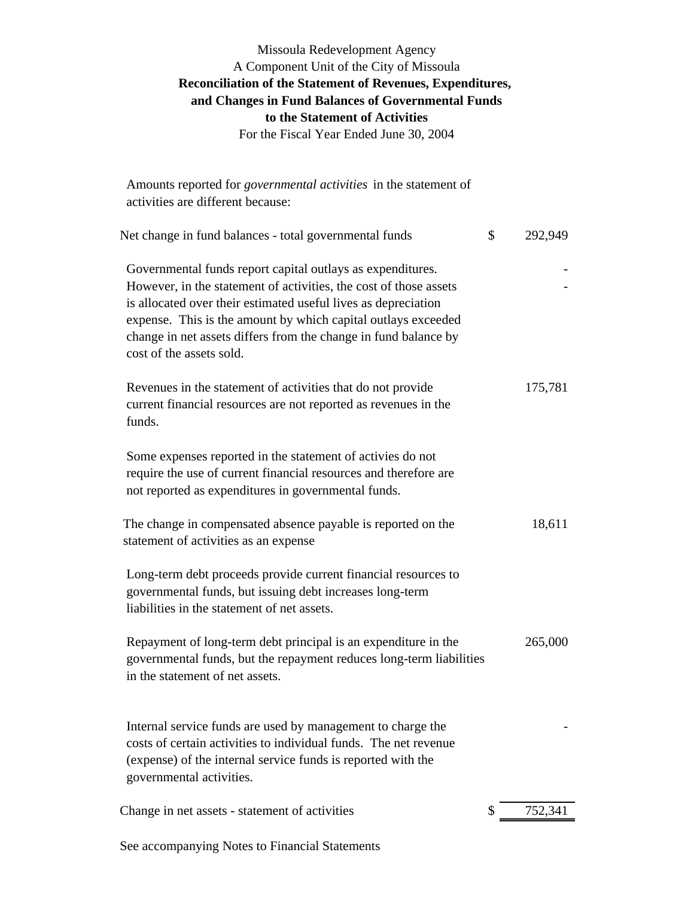### Missoula Redevelopment Agency A Component Unit of the City of Missoula **Reconciliation of the Statement of Revenues, Expenditures, and Changes in Fund Balances of Governmental Funds to the Statement of Activities** For the Fiscal Year Ended June 30, 2004

| Amounts reported for <i>governmental activities</i> in the statement of<br>activities are different because:                                                                                                                                                                                                                                                      |               |
|-------------------------------------------------------------------------------------------------------------------------------------------------------------------------------------------------------------------------------------------------------------------------------------------------------------------------------------------------------------------|---------------|
| Net change in fund balances - total governmental funds                                                                                                                                                                                                                                                                                                            | \$<br>292,949 |
| Governmental funds report capital outlays as expenditures.<br>However, in the statement of activities, the cost of those assets<br>is allocated over their estimated useful lives as depreciation<br>expense. This is the amount by which capital outlays exceeded<br>change in net assets differs from the change in fund balance by<br>cost of the assets sold. |               |
| Revenues in the statement of activities that do not provide<br>current financial resources are not reported as revenues in the<br>funds.                                                                                                                                                                                                                          | 175,781       |
| Some expenses reported in the statement of activies do not<br>require the use of current financial resources and therefore are<br>not reported as expenditures in governmental funds.                                                                                                                                                                             |               |
| The change in compensated absence payable is reported on the<br>statement of activities as an expense                                                                                                                                                                                                                                                             | 18,611        |
| Long-term debt proceeds provide current financial resources to<br>governmental funds, but issuing debt increases long-term<br>liabilities in the statement of net assets.                                                                                                                                                                                         |               |
| Repayment of long-term debt principal is an expenditure in the<br>governmental funds, but the repayment reduces long-term liabilities<br>in the statement of net assets.                                                                                                                                                                                          | 265,000       |
| Internal service funds are used by management to charge the<br>costs of certain activities to individual funds. The net revenue<br>(expense) of the internal service funds is reported with the<br>governmental activities.                                                                                                                                       |               |
| Change in net assets - statement of activities                                                                                                                                                                                                                                                                                                                    | \$<br>752,341 |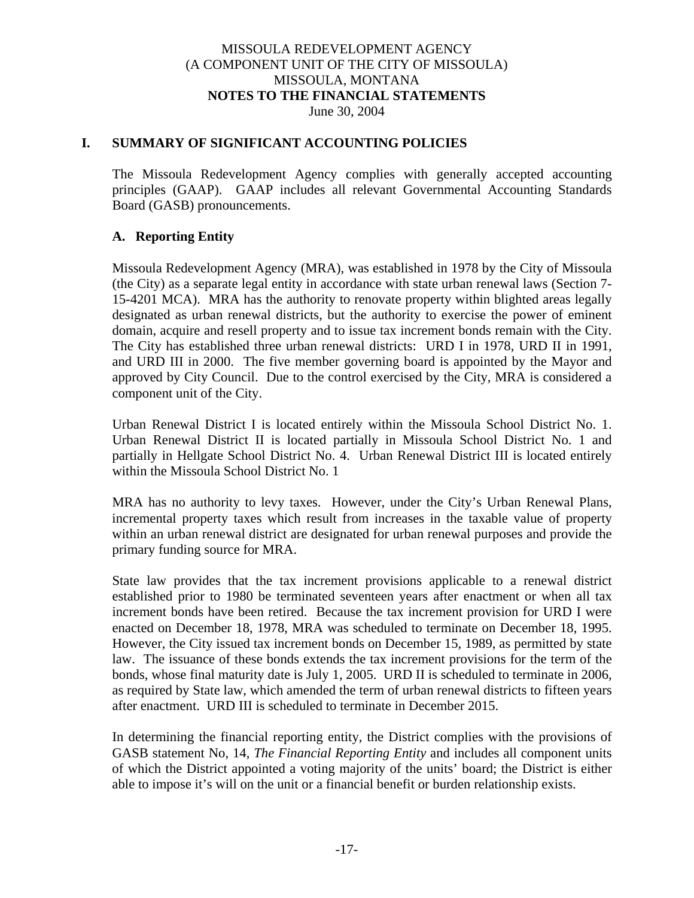#### MISSOULA REDEVELOPMENT AGENCY (A COMPONENT UNIT OF THE CITY OF MISSOULA) MISSOULA, MONTANA **NOTES TO THE FINANCIAL STATEMENTS** June 30, 2004

#### **I. SUMMARY OF SIGNIFICANT ACCOUNTING POLICIES**

The Missoula Redevelopment Agency complies with generally accepted accounting principles (GAAP). GAAP includes all relevant Governmental Accounting Standards Board (GASB) pronouncements.

### **A. Reporting Entity**

Missoula Redevelopment Agency (MRA), was established in 1978 by the City of Missoula (the City) as a separate legal entity in accordance with state urban renewal laws (Section 7- 15-4201 MCA). MRA has the authority to renovate property within blighted areas legally designated as urban renewal districts, but the authority to exercise the power of eminent domain, acquire and resell property and to issue tax increment bonds remain with the City. The City has established three urban renewal districts: URD I in 1978, URD II in 1991, and URD III in 2000. The five member governing board is appointed by the Mayor and approved by City Council. Due to the control exercised by the City, MRA is considered a component unit of the City.

Urban Renewal District I is located entirely within the Missoula School District No. 1. Urban Renewal District II is located partially in Missoula School District No. 1 and partially in Hellgate School District No. 4. Urban Renewal District III is located entirely within the Missoula School District No. 1

MRA has no authority to levy taxes. However, under the City's Urban Renewal Plans, incremental property taxes which result from increases in the taxable value of property within an urban renewal district are designated for urban renewal purposes and provide the primary funding source for MRA.

State law provides that the tax increment provisions applicable to a renewal district established prior to 1980 be terminated seventeen years after enactment or when all tax increment bonds have been retired. Because the tax increment provision for URD I were enacted on December 18, 1978, MRA was scheduled to terminate on December 18, 1995. However, the City issued tax increment bonds on December 15, 1989, as permitted by state law. The issuance of these bonds extends the tax increment provisions for the term of the bonds, whose final maturity date is July 1, 2005. URD II is scheduled to terminate in 2006, as required by State law, which amended the term of urban renewal districts to fifteen years after enactment. URD III is scheduled to terminate in December 2015.

In determining the financial reporting entity, the District complies with the provisions of GASB statement No, 14, *The Financial Reporting Entity* and includes all component units of which the District appointed a voting majority of the units' board; the District is either able to impose it's will on the unit or a financial benefit or burden relationship exists.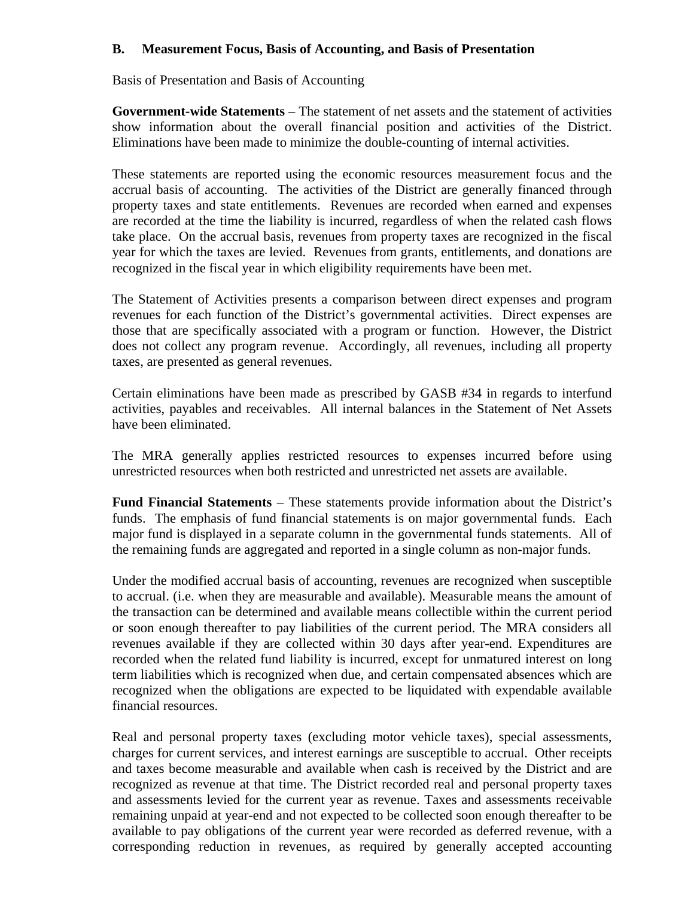### **B. Measurement Focus, Basis of Accounting, and Basis of Presentation**

Basis of Presentation and Basis of Accounting

**Government-wide Statements** – The statement of net assets and the statement of activities show information about the overall financial position and activities of the District. Eliminations have been made to minimize the double-counting of internal activities.

These statements are reported using the economic resources measurement focus and the accrual basis of accounting. The activities of the District are generally financed through property taxes and state entitlements. Revenues are recorded when earned and expenses are recorded at the time the liability is incurred, regardless of when the related cash flows take place. On the accrual basis, revenues from property taxes are recognized in the fiscal year for which the taxes are levied. Revenues from grants, entitlements, and donations are recognized in the fiscal year in which eligibility requirements have been met.

The Statement of Activities presents a comparison between direct expenses and program revenues for each function of the District's governmental activities. Direct expenses are those that are specifically associated with a program or function. However, the District does not collect any program revenue. Accordingly, all revenues, including all property taxes, are presented as general revenues.

Certain eliminations have been made as prescribed by GASB #34 in regards to interfund activities, payables and receivables. All internal balances in the Statement of Net Assets have been eliminated.

The MRA generally applies restricted resources to expenses incurred before using unrestricted resources when both restricted and unrestricted net assets are available.

**Fund Financial Statements** – These statements provide information about the District's funds. The emphasis of fund financial statements is on major governmental funds. Each major fund is displayed in a separate column in the governmental funds statements. All of the remaining funds are aggregated and reported in a single column as non-major funds.

Under the modified accrual basis of accounting, revenues are recognized when susceptible to accrual. (i.e. when they are measurable and available). Measurable means the amount of the transaction can be determined and available means collectible within the current period or soon enough thereafter to pay liabilities of the current period. The MRA considers all revenues available if they are collected within 30 days after year-end. Expenditures are recorded when the related fund liability is incurred, except for unmatured interest on long term liabilities which is recognized when due, and certain compensated absences which are recognized when the obligations are expected to be liquidated with expendable available financial resources.

Real and personal property taxes (excluding motor vehicle taxes), special assessments, charges for current services, and interest earnings are susceptible to accrual. Other receipts and taxes become measurable and available when cash is received by the District and are recognized as revenue at that time. The District recorded real and personal property taxes and assessments levied for the current year as revenue. Taxes and assessments receivable remaining unpaid at year-end and not expected to be collected soon enough thereafter to be available to pay obligations of the current year were recorded as deferred revenue, with a corresponding reduction in revenues, as required by generally accepted accounting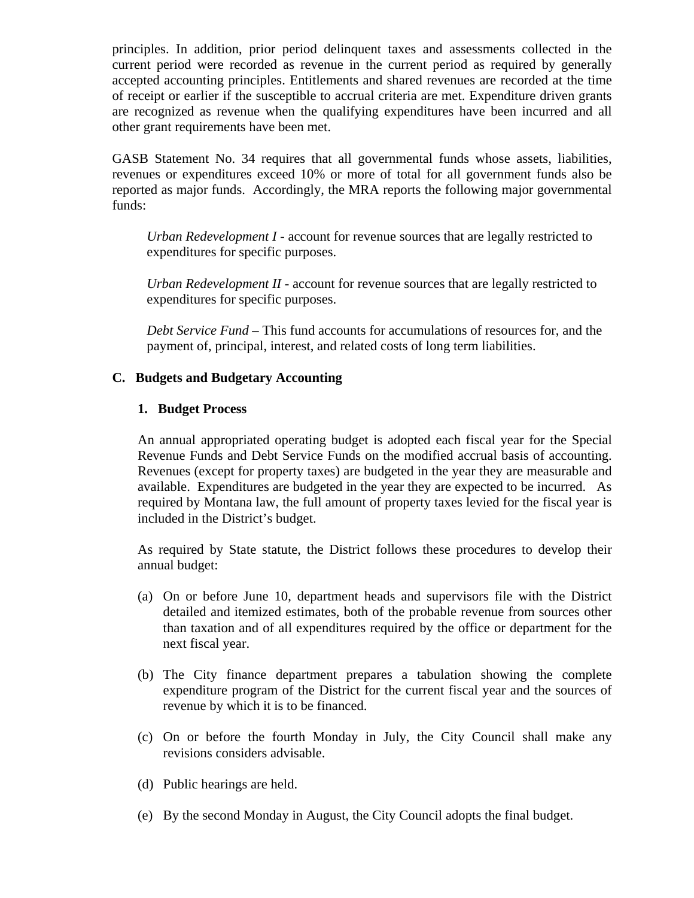principles. In addition, prior period delinquent taxes and assessments collected in the current period were recorded as revenue in the current period as required by generally accepted accounting principles. Entitlements and shared revenues are recorded at the time of receipt or earlier if the susceptible to accrual criteria are met. Expenditure driven grants are recognized as revenue when the qualifying expenditures have been incurred and all other grant requirements have been met.

GASB Statement No. 34 requires that all governmental funds whose assets, liabilities, revenues or expenditures exceed 10% or more of total for all government funds also be reported as major funds. Accordingly, the MRA reports the following major governmental funds:

*Urban Redevelopment I* - account for revenue sources that are legally restricted to expenditures for specific purposes.

*Urban Redevelopment II* - account for revenue sources that are legally restricted to expenditures for specific purposes.

*Debt Service Fund* – This fund accounts for accumulations of resources for, and the payment of, principal, interest, and related costs of long term liabilities.

### **C. Budgets and Budgetary Accounting**

#### **1. Budget Process**

An annual appropriated operating budget is adopted each fiscal year for the Special Revenue Funds and Debt Service Funds on the modified accrual basis of accounting. Revenues (except for property taxes) are budgeted in the year they are measurable and available. Expenditures are budgeted in the year they are expected to be incurred. As required by Montana law, the full amount of property taxes levied for the fiscal year is included in the District's budget.

As required by State statute, the District follows these procedures to develop their annual budget:

- (a) On or before June 10, department heads and supervisors file with the District detailed and itemized estimates, both of the probable revenue from sources other than taxation and of all expenditures required by the office or department for the next fiscal year.
- (b) The City finance department prepares a tabulation showing the complete expenditure program of the District for the current fiscal year and the sources of revenue by which it is to be financed.
- (c) On or before the fourth Monday in July, the City Council shall make any revisions considers advisable.
- (d) Public hearings are held.
- (e) By the second Monday in August, the City Council adopts the final budget.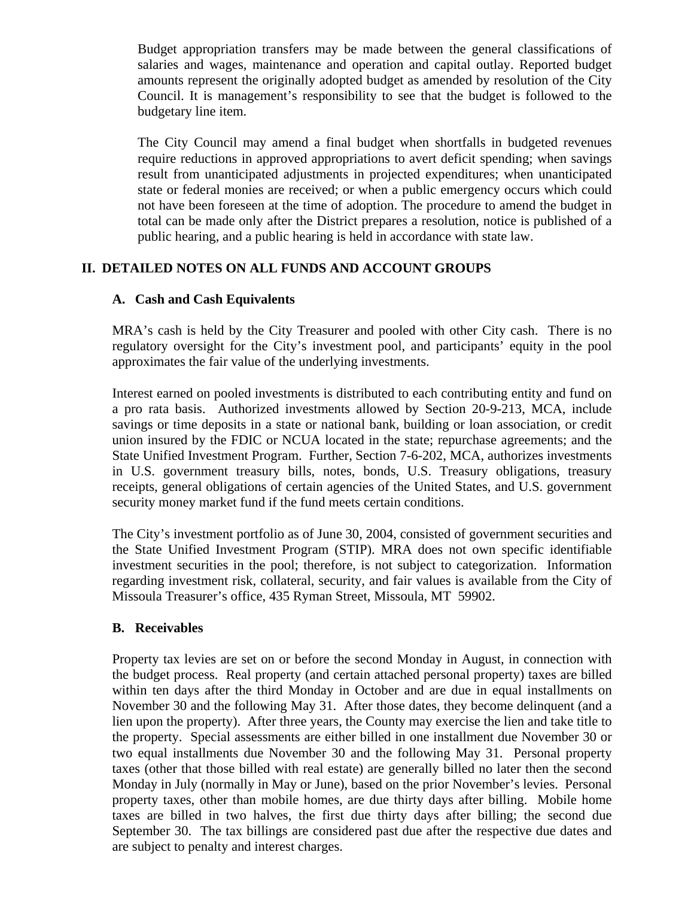Budget appropriation transfers may be made between the general classifications of salaries and wages, maintenance and operation and capital outlay. Reported budget amounts represent the originally adopted budget as amended by resolution of the City Council. It is management's responsibility to see that the budget is followed to the budgetary line item.

The City Council may amend a final budget when shortfalls in budgeted revenues require reductions in approved appropriations to avert deficit spending; when savings result from unanticipated adjustments in projected expenditures; when unanticipated state or federal monies are received; or when a public emergency occurs which could not have been foreseen at the time of adoption. The procedure to amend the budget in total can be made only after the District prepares a resolution, notice is published of a public hearing, and a public hearing is held in accordance with state law.

### **II. DETAILED NOTES ON ALL FUNDS AND ACCOUNT GROUPS**

### **A. Cash and Cash Equivalents**

MRA's cash is held by the City Treasurer and pooled with other City cash. There is no regulatory oversight for the City's investment pool, and participants' equity in the pool approximates the fair value of the underlying investments.

Interest earned on pooled investments is distributed to each contributing entity and fund on a pro rata basis. Authorized investments allowed by Section 20-9-213, MCA, include savings or time deposits in a state or national bank, building or loan association, or credit union insured by the FDIC or NCUA located in the state; repurchase agreements; and the State Unified Investment Program. Further, Section 7-6-202, MCA, authorizes investments in U.S. government treasury bills, notes, bonds, U.S. Treasury obligations, treasury receipts, general obligations of certain agencies of the United States, and U.S. government security money market fund if the fund meets certain conditions.

The City's investment portfolio as of June 30, 2004, consisted of government securities and the State Unified Investment Program (STIP). MRA does not own specific identifiable investment securities in the pool; therefore, is not subject to categorization. Information regarding investment risk, collateral, security, and fair values is available from the City of Missoula Treasurer's office, 435 Ryman Street, Missoula, MT 59902.

### **B. Receivables**

Property tax levies are set on or before the second Monday in August, in connection with the budget process. Real property (and certain attached personal property) taxes are billed within ten days after the third Monday in October and are due in equal installments on November 30 and the following May 31. After those dates, they become delinquent (and a lien upon the property). After three years, the County may exercise the lien and take title to the property. Special assessments are either billed in one installment due November 30 or two equal installments due November 30 and the following May 31. Personal property taxes (other that those billed with real estate) are generally billed no later then the second Monday in July (normally in May or June), based on the prior November's levies. Personal property taxes, other than mobile homes, are due thirty days after billing. Mobile home taxes are billed in two halves, the first due thirty days after billing; the second due September 30. The tax billings are considered past due after the respective due dates and are subject to penalty and interest charges.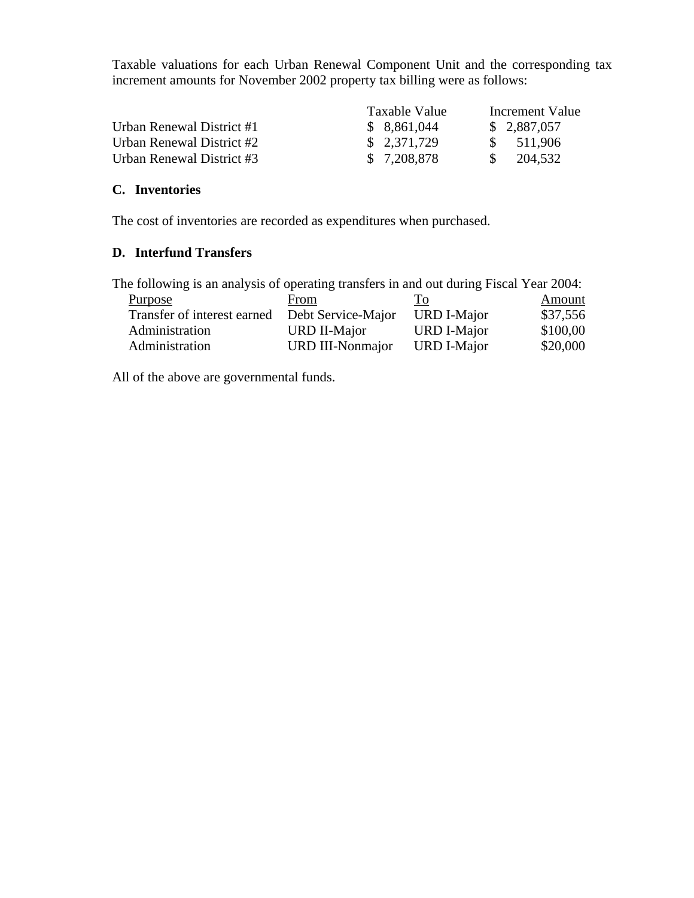Taxable valuations for each Urban Renewal Component Unit and the corresponding tax increment amounts for November 2002 property tax billing were as follows:

|                           | Taxable Value | Increment Value          |
|---------------------------|---------------|--------------------------|
| Urban Renewal District #1 | \$8,861,044   | \$ 2,887,057             |
| Urban Renewal District #2 | \$2,371,729   | 511,906<br>$\mathcal{S}$ |
| Urban Renewal District #3 | \$ 7,208,878  | 204.532                  |

### **C. Inventories**

The cost of inventories are recorded as expenditures when purchased.

## **D. Interfund Transfers**

The following is an analysis of operating transfers in and out during Fiscal Year 2004:

| <b>Purpose</b>              | From                    | Tо                 | Amount   |
|-----------------------------|-------------------------|--------------------|----------|
| Transfer of interest earned | Debt Service-Major      | <b>URD I-Major</b> | \$37,556 |
| Administration              | URD II-Major            | <b>URD I-Major</b> | \$100,00 |
| Administration              | <b>URD III-Nonmajor</b> | <b>URD I-Major</b> | \$20,000 |

All of the above are governmental funds.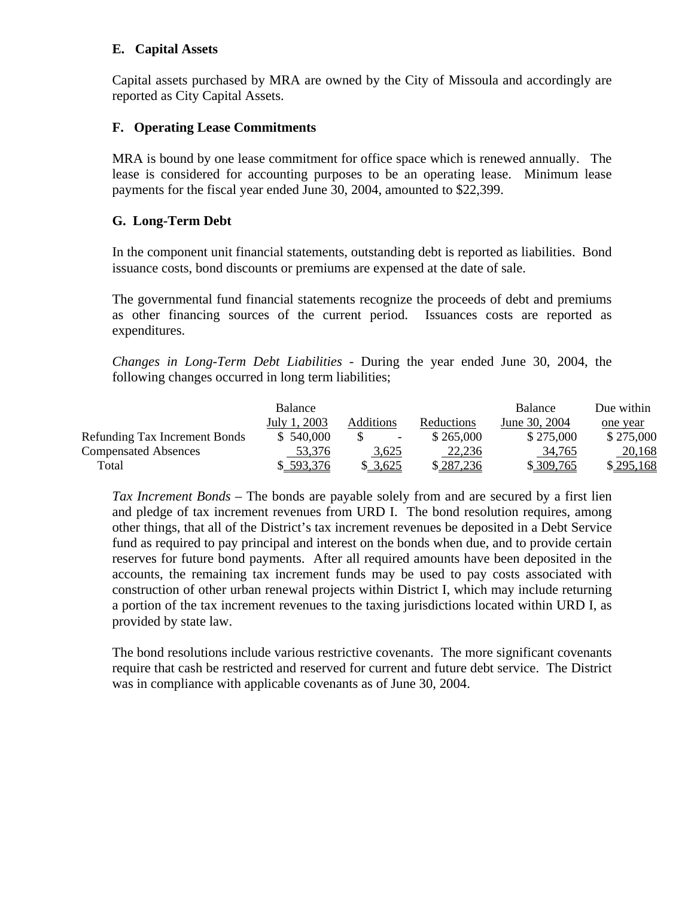### **E. Capital Assets**

Capital assets purchased by MRA are owned by the City of Missoula and accordingly are reported as City Capital Assets.

### **F. Operating Lease Commitments**

MRA is bound by one lease commitment for office space which is renewed annually. The lease is considered for accounting purposes to be an operating lease. Minimum lease payments for the fiscal year ended June 30, 2004, amounted to \$22,399.

### **G. Long-Term Debt**

In the component unit financial statements, outstanding debt is reported as liabilities. Bond issuance costs, bond discounts or premiums are expensed at the date of sale.

The governmental fund financial statements recognize the proceeds of debt and premiums as other financing sources of the current period. Issuances costs are reported as expenditures.

*Changes in Long-Term Debt Liabilities* - During the year ended June 30, 2004, the following changes occurred in long term liabilities;

|                                      | <b>Balance</b> |                          |            | <b>Balance</b> | Due within |
|--------------------------------------|----------------|--------------------------|------------|----------------|------------|
|                                      | July 1, 2003   | <b>Additions</b>         | Reductions | June 30, 2004  | one year   |
| <b>Refunding Tax Increment Bonds</b> | \$540,000      | $\overline{\phantom{a}}$ | \$265,000  | \$275,000      | \$275,000  |
| <b>Compensated Absences</b>          | 53,376         | 3,625                    | 22,236     | 34,765         | 20,168     |
| Total                                | \$593.376      | \$ 3.625                 | \$287,236  | \$309,765      | \$295,168  |

*Tax Increment Bonds* – The bonds are payable solely from and are secured by a first lien and pledge of tax increment revenues from URD I. The bond resolution requires, among other things, that all of the District's tax increment revenues be deposited in a Debt Service fund as required to pay principal and interest on the bonds when due, and to provide certain reserves for future bond payments. After all required amounts have been deposited in the accounts, the remaining tax increment funds may be used to pay costs associated with construction of other urban renewal projects within District I, which may include returning a portion of the tax increment revenues to the taxing jurisdictions located within URD I, as provided by state law.

The bond resolutions include various restrictive covenants. The more significant covenants require that cash be restricted and reserved for current and future debt service. The District was in compliance with applicable covenants as of June 30, 2004.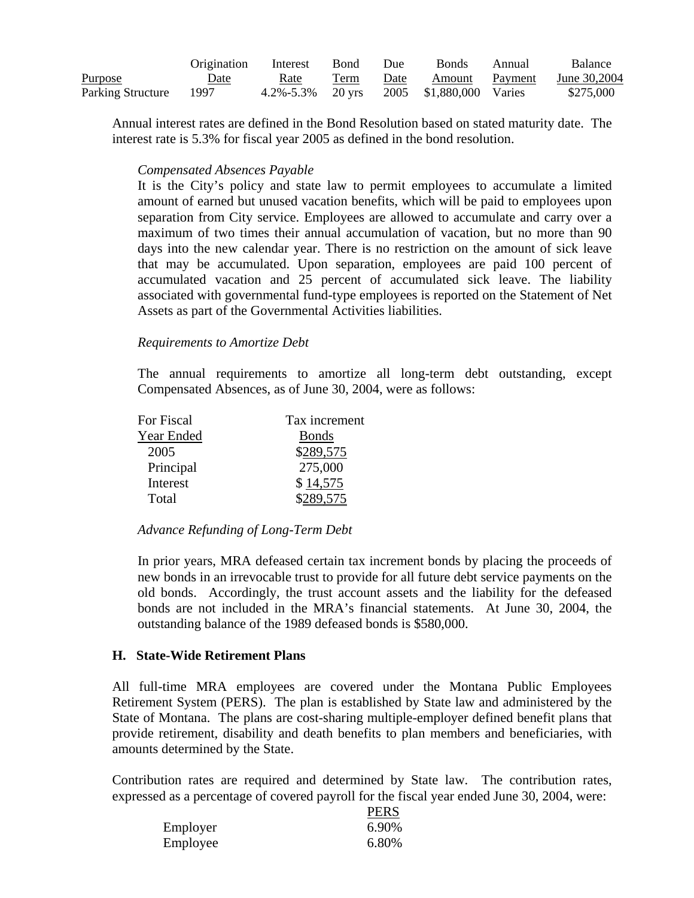|                   | Origination | Interest  | Bond   | Due  | <b>Bonds</b>            | Annual  | <b>Balance</b> |
|-------------------|-------------|-----------|--------|------|-------------------------|---------|----------------|
| <b>Purpose</b>    | Date        | Rate      | Term   | Date | Amount                  | Payment | June 30,2004   |
| Parking Structure | 1997        | 4.2%-5.3% | 20 yrs |      | 2005 \$1,880,000 Varies |         | \$275,000      |

Annual interest rates are defined in the Bond Resolution based on stated maturity date. The interest rate is 5.3% for fiscal year 2005 as defined in the bond resolution.

#### *Compensated Absences Payable*

It is the City's policy and state law to permit employees to accumulate a limited amount of earned but unused vacation benefits, which will be paid to employees upon separation from City service. Employees are allowed to accumulate and carry over a maximum of two times their annual accumulation of vacation, but no more than 90 days into the new calendar year. There is no restriction on the amount of sick leave that may be accumulated. Upon separation, employees are paid 100 percent of accumulated vacation and 25 percent of accumulated sick leave. The liability associated with governmental fund-type employees is reported on the Statement of Net Assets as part of the Governmental Activities liabilities.

#### *Requirements to Amortize Debt*

The annual requirements to amortize all long-term debt outstanding, except Compensated Absences, as of June 30, 2004, were as follows:

| For Fiscal | Tax increment |
|------------|---------------|
| Year Ended | <b>Bonds</b>  |
| 2005       | \$289,575     |
| Principal  | 275,000       |
| Interest   | \$14,575      |
| Total      | 89.575        |

*Advance Refunding of Long-Term Debt* 

In prior years, MRA defeased certain tax increment bonds by placing the proceeds of new bonds in an irrevocable trust to provide for all future debt service payments on the old bonds. Accordingly, the trust account assets and the liability for the defeased bonds are not included in the MRA's financial statements. At June 30, 2004, the outstanding balance of the 1989 defeased bonds is \$580,000.

#### **H. State-Wide Retirement Plans**

All full-time MRA employees are covered under the Montana Public Employees Retirement System (PERS). The plan is established by State law and administered by the State of Montana. The plans are cost-sharing multiple-employer defined benefit plans that provide retirement, disability and death benefits to plan members and beneficiaries, with amounts determined by the State.

Contribution rates are required and determined by State law. The contribution rates, expressed as a percentage of covered payroll for the fiscal year ended June 30, 2004, were:  $PPRG$ 

|          | <b>FERS</b> |
|----------|-------------|
| Employer | 6.90%       |
| Employee | 6.80%       |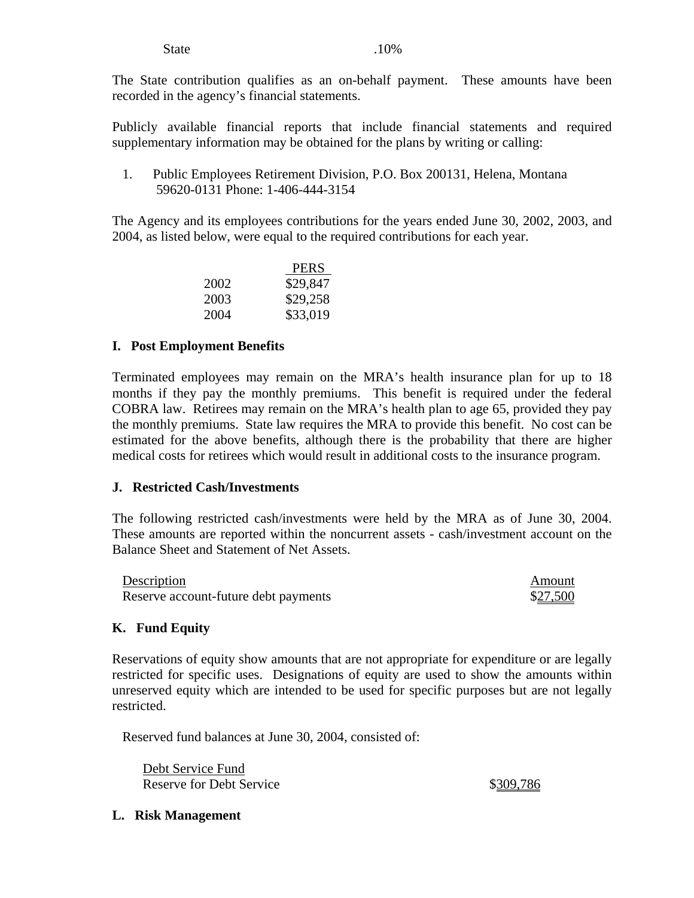#### State .10%

The State contribution qualifies as an on-behalf payment. These amounts have been recorded in the agency's financial statements.

Publicly available financial reports that include financial statements and required supplementary information may be obtained for the plans by writing or calling:

1. Public Employees Retirement Division, P.O. Box 200131, Helena, Montana 59620-0131 Phone: 1-406-444-3154

The Agency and its employees contributions for the years ended June 30, 2002, 2003, and 2004, as listed below, were equal to the required contributions for each year.

|      | <b>PERS</b> |
|------|-------------|
| 2002 | \$29,847    |
| 2003 | \$29,258    |
| 2004 | \$33,019    |

#### **I. Post Employment Benefits**

Terminated employees may remain on the MRA's health insurance plan for up to 18 months if they pay the monthly premiums. This benefit is required under the federal COBRA law. Retirees may remain on the MRA's health plan to age 65, provided they pay the monthly premiums. State law requires the MRA to provide this benefit. No cost can be estimated for the above benefits, although there is the probability that there are higher medical costs for retirees which would result in additional costs to the insurance program.

#### **J. Restricted Cash/Investments**

The following restricted cash/investments were held by the MRA as of June 30, 2004. These amounts are reported within the noncurrent assets - cash/investment account on the Balance Sheet and Statement of Net Assets.

| Description                          | Amount   |
|--------------------------------------|----------|
| Reserve account-future debt payments | \$27,500 |

### **K. Fund Equity**

Reservations of equity show amounts that are not appropriate for expenditure or are legally restricted for specific uses. Designations of equity are used to show the amounts within unreserved equity which are intended to be used for specific purposes but are not legally restricted.

Reserved fund balances at June 30, 2004, consisted of:

Debt Service Fund Reserve for Debt Service  $$309,786$ 

**L. Risk Management**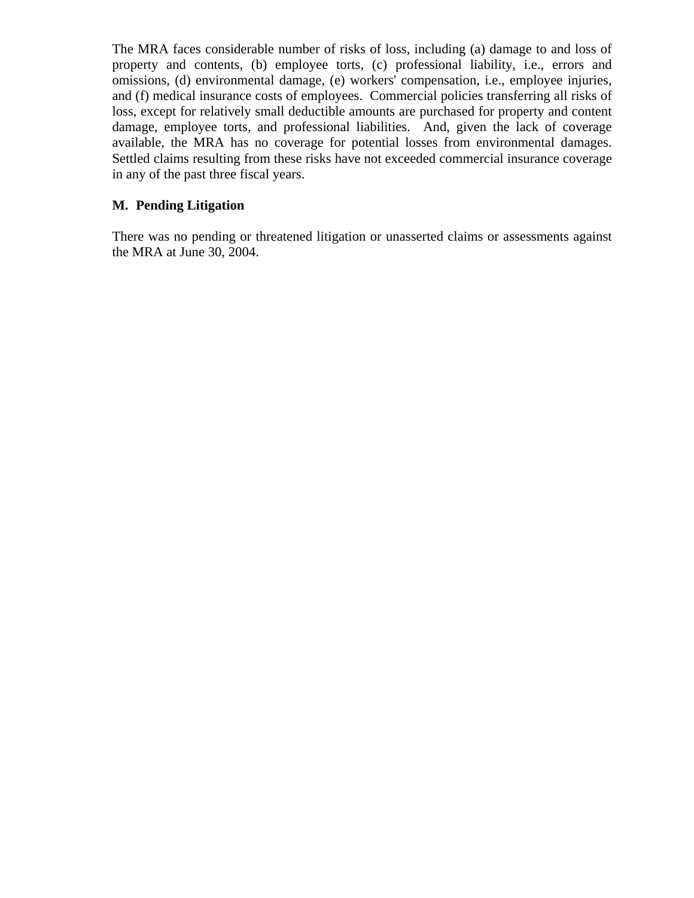The MRA faces considerable number of risks of loss, including (a) damage to and loss of property and contents, (b) employee torts, (c) professional liability, i.e., errors and omissions, (d) environmental damage, (e) workers' compensation, i.e., employee injuries, and (f) medical insurance costs of employees. Commercial policies transferring all risks of loss, except for relatively small deductible amounts are purchased for property and content damage, employee torts, and professional liabilities. And, given the lack of coverage available, the MRA has no coverage for potential losses from environmental damages. Settled claims resulting from these risks have not exceeded commercial insurance coverage in any of the past three fiscal years.

### **M. Pending Litigation**

There was no pending or threatened litigation or unasserted claims or assessments against the MRA at June 30, 2004.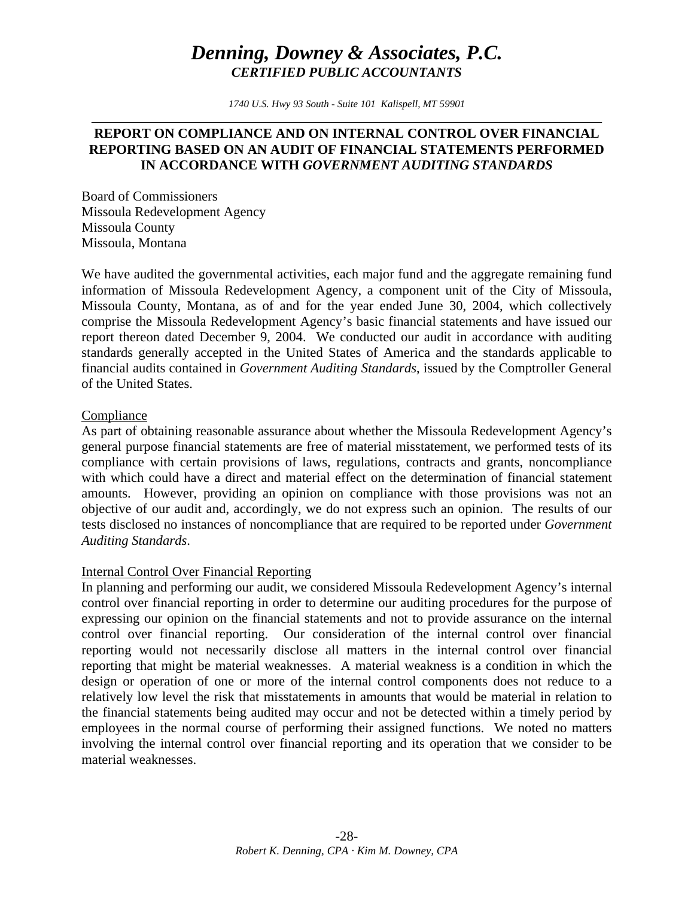# *Denning, Downey & Associates, P.C. CERTIFIED PUBLIC ACCOUNTANTS*

*1740 U.S. Hwy 93 South - Suite 101 Kalispell, MT 59901* 

### **REPORT ON COMPLIANCE AND ON INTERNAL CONTROL OVER FINANCIAL REPORTING BASED ON AN AUDIT OF FINANCIAL STATEMENTS PERFORMED IN ACCORDANCE WITH** *GOVERNMENT AUDITING STANDARDS*

Board of Commissioners Missoula Redevelopment Agency Missoula County Missoula, Montana

We have audited the governmental activities, each major fund and the aggregate remaining fund information of Missoula Redevelopment Agency, a component unit of the City of Missoula, Missoula County, Montana, as of and for the year ended June 30, 2004, which collectively comprise the Missoula Redevelopment Agency's basic financial statements and have issued our report thereon dated December 9, 2004. We conducted our audit in accordance with auditing standards generally accepted in the United States of America and the standards applicable to financial audits contained in *Government Auditing Standards*, issued by the Comptroller General of the United States.

#### Compliance

As part of obtaining reasonable assurance about whether the Missoula Redevelopment Agency's general purpose financial statements are free of material misstatement, we performed tests of its compliance with certain provisions of laws, regulations, contracts and grants, noncompliance with which could have a direct and material effect on the determination of financial statement amounts. However, providing an opinion on compliance with those provisions was not an objective of our audit and, accordingly, we do not express such an opinion. The results of our tests disclosed no instances of noncompliance that are required to be reported under *Government Auditing Standards*.

#### Internal Control Over Financial Reporting

In planning and performing our audit, we considered Missoula Redevelopment Agency's internal control over financial reporting in order to determine our auditing procedures for the purpose of expressing our opinion on the financial statements and not to provide assurance on the internal control over financial reporting. Our consideration of the internal control over financial reporting would not necessarily disclose all matters in the internal control over financial reporting that might be material weaknesses. A material weakness is a condition in which the design or operation of one or more of the internal control components does not reduce to a relatively low level the risk that misstatements in amounts that would be material in relation to the financial statements being audited may occur and not be detected within a timely period by employees in the normal course of performing their assigned functions. We noted no matters involving the internal control over financial reporting and its operation that we consider to be material weaknesses.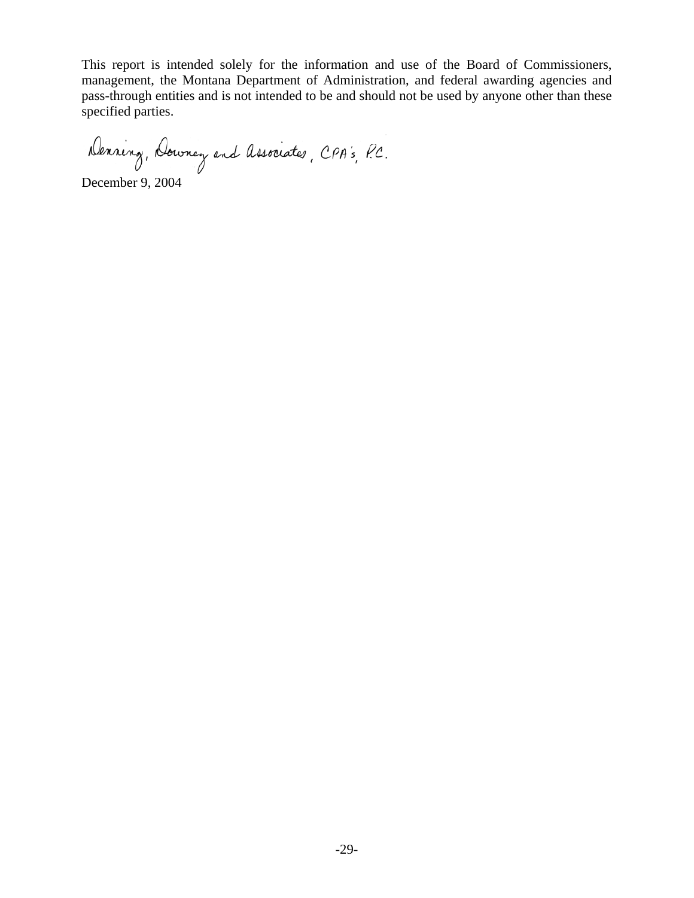This report is intended solely for the information and use of the Board of Commissioners, management, the Montana Department of Administration, and federal awarding agencies and pass-through entities and is not intended to be and should not be used by anyone other than these specified parties.

Denning, Downey and Associates, CPA's, P.C.

December 9, 2004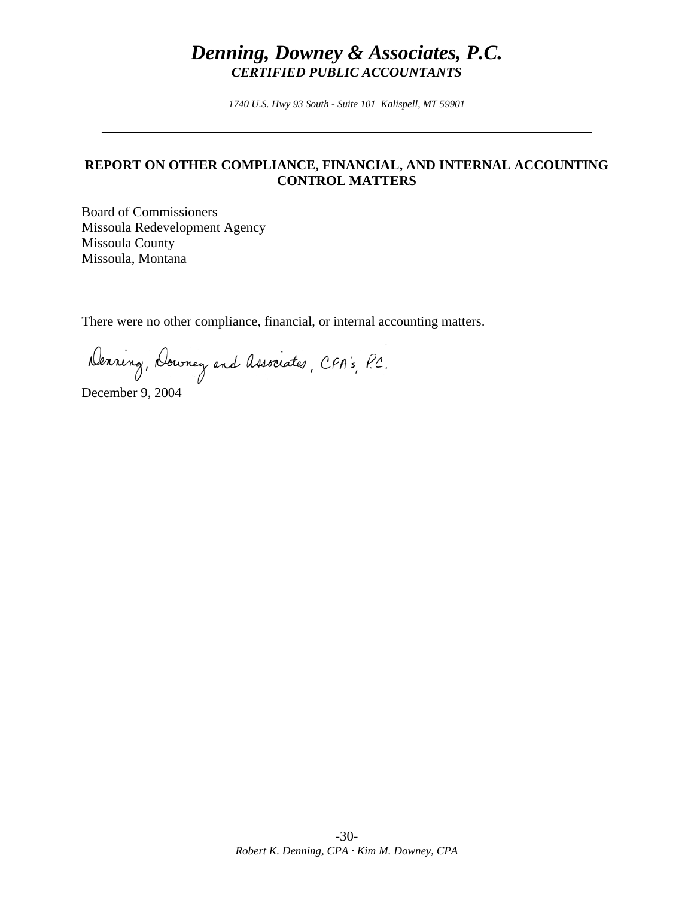# *Denning, Downey & Associates, P.C. CERTIFIED PUBLIC ACCOUNTANTS*

*1740 U.S. Hwy 93 South - Suite 101 Kalispell, MT 59901* 

### **REPORT ON OTHER COMPLIANCE, FINANCIAL, AND INTERNAL ACCOUNTING CONTROL MATTERS**

Board of Commissioners Missoula Redevelopment Agency Missoula County Missoula, Montana

There were no other compliance, financial, or internal accounting matters.

Denning, Downey and Associates, CPA's, P.C.

December 9, 2004